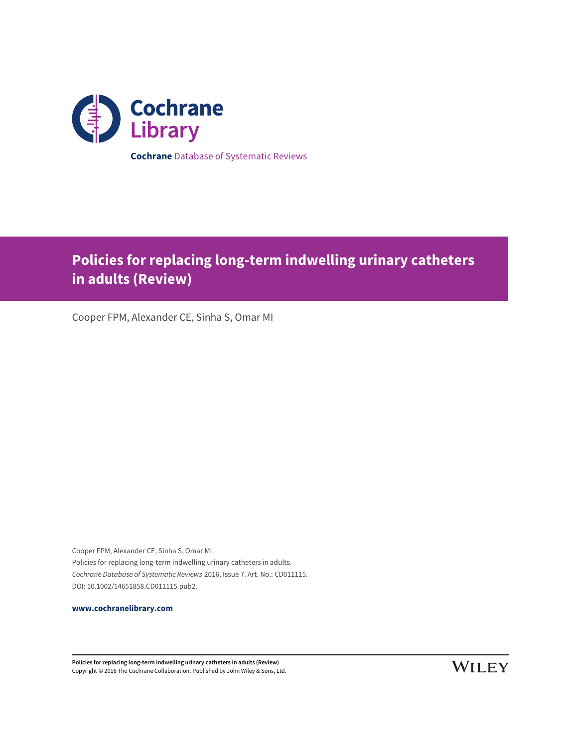

# **Policies for replacing long-term indwelling urinary catheters in adults (Review)**

Cooper FPM, Alexander CE, Sinha S, Omar MI

Cooper FPM, Alexander CE, Sinha S, Omar MI. Policies for replacing long-term indwelling urinary catheters in adults. Cochrane Database of Systematic Reviews 2016, Issue 7. Art. No.: CD011115. DOI: 10.1002/14651858.CD011115.pub2.

**[www.cochranelibrary.com](http://www.cochranelibrary.com)**

**Policies for replacing long-term indwelling urinary catheters in adults (Review)** Copyright © 2016 The Cochrane Collaboration. Published by John Wiley & Sons, Ltd.

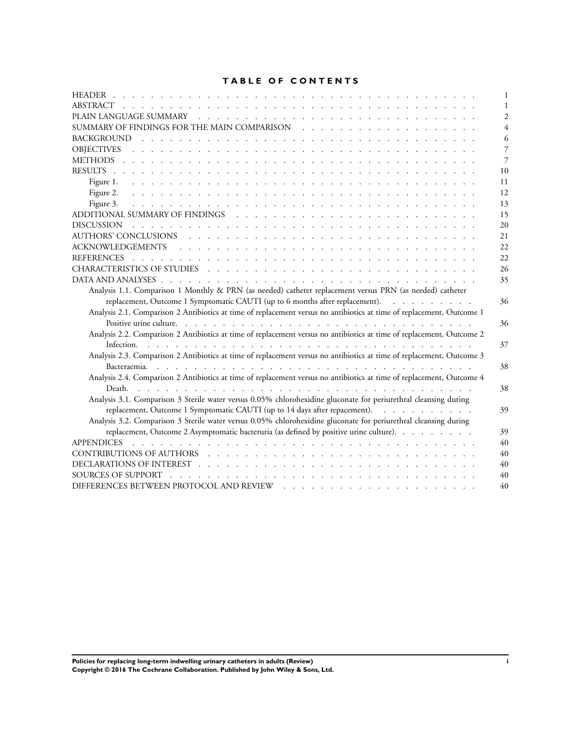# **TABLE OF CONTENTS**

| <b>HEADER</b><br><u>. In the second contract of the second contract of the second contract of the second contract of the second contract of the second contract of the second contract of the second contract of the second contract of the secon</u> |                |
|-------------------------------------------------------------------------------------------------------------------------------------------------------------------------------------------------------------------------------------------------------|----------------|
| ABSTRACT<br><u>. In the second contract of the second contract of the second contract of the second contract of the second con</u>                                                                                                                    |                |
|                                                                                                                                                                                                                                                       | $\overline{c}$ |
|                                                                                                                                                                                                                                                       |                |
|                                                                                                                                                                                                                                                       | 6              |
|                                                                                                                                                                                                                                                       | 7              |
|                                                                                                                                                                                                                                                       | 7              |
|                                                                                                                                                                                                                                                       | 10             |
|                                                                                                                                                                                                                                                       | 11             |
| Figure 2.                                                                                                                                                                                                                                             | 12             |
| Figure 3.<br>a construction of the construction of the construction of the construction of the construction of the construction of the construction of the construction of the construction of the construction of the construction of the            | 13             |
|                                                                                                                                                                                                                                                       | 15             |
| <b>DISCUSSION</b><br>فالمتحال والمتحال والمتحال والمتحالة والمتحالة والمتحالة والمتحالة والمتحالة والمتحالة والمتحالة والمتحالة والمتحالة                                                                                                             | 20             |
|                                                                                                                                                                                                                                                       | 21             |
|                                                                                                                                                                                                                                                       | 22             |
|                                                                                                                                                                                                                                                       | 22             |
|                                                                                                                                                                                                                                                       | 26             |
|                                                                                                                                                                                                                                                       | 35             |
| Analysis 1.1. Comparison 1 Monthly & PRN (as needed) catheter replacement versus PRN (as needed) catheter                                                                                                                                             |                |
| replacement, Outcome 1 Symptomatic CAUTI (up to 6 months after replacement).                                                                                                                                                                          | 36             |
| Analysis 2.1. Comparison 2 Antibiotics at time of replacement versus no antibiotics at time of replacement, Outcome 1                                                                                                                                 |                |
|                                                                                                                                                                                                                                                       | 36             |
| Analysis 2.2. Comparison 2 Antibiotics at time of replacement versus no antibiotics at time of replacement, Outcome 2                                                                                                                                 |                |
|                                                                                                                                                                                                                                                       | 37             |
| Analysis 2.3. Comparison 2 Antibiotics at time of replacement versus no antibiotics at time of replacement, Outcome 3                                                                                                                                 |                |
|                                                                                                                                                                                                                                                       | 38             |
| Analysis 2.4. Comparison 2 Antibiotics at time of replacement versus no antibiotics at time of replacement, Outcome 4                                                                                                                                 |                |
|                                                                                                                                                                                                                                                       | 38             |
| Analysis 3.1. Comparison 3 Sterile water versus 0.05% chlorohexidine gluconate for periurethral cleansing during                                                                                                                                      |                |
| replacement, Outcome 1 Symptomatic CAUTI (up to 14 days after repacement).                                                                                                                                                                            | 39             |
| Analysis 3.2. Comparison 3 Sterile water versus 0.05% chlorohexidine gluconate for periurethral cleansing during                                                                                                                                      |                |
| replacement, Outcome 2 Asymptomatic bacteruria (as defined by positive urine culture).                                                                                                                                                                | 39             |
| <b>APPENDICES</b>                                                                                                                                                                                                                                     | 40             |
| CONTRIBUTIONS OF AUTHORS (CONTRIBUTIONS)                                                                                                                                                                                                              | 40             |
|                                                                                                                                                                                                                                                       | 40             |
| SOURCES OF SUPPORT<br><u>. In the second contract of the second contract of the second contract of the second</u>                                                                                                                                     | 40             |
| DIFFERENCES BETWEEN PROTOCOL AND REVIEW                                                                                                                                                                                                               | 40             |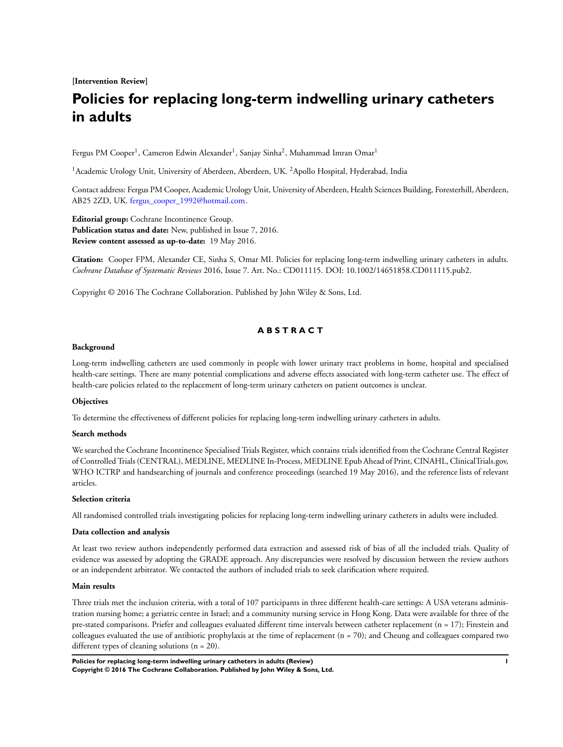**[Intervention Review]**

# **Policies for replacing long-term indwelling urinary catheters in adults**

Fergus PM Cooper<sup>1</sup>, Cameron Edwin Alexander<sup>1</sup>, Sanjay Sinha<sup>2</sup>, Muhammad Imran Omar<sup>1</sup>

<sup>1</sup> Academic Urology Unit, University of Aberdeen, Aberdeen, UK. <sup>2</sup> Apollo Hospital, Hyderabad, India

Contact address: Fergus PM Cooper, Academic Urology Unit, University of Aberdeen, Health Sciences Building, Foresterhill, Aberdeen, AB25 2ZD, UK. [fergus\\_cooper\\_1992@hotmail.com.](mailto:ferguschar "A8penalty z@ cooperchar "A8penalty z@ 1992@hotmail.com)

**Editorial group:** Cochrane Incontinence Group. **Publication status and date:** New, published in Issue 7, 2016. **Review content assessed as up-to-date:** 19 May 2016.

**Citation:** Cooper FPM, Alexander CE, Sinha S, Omar MI. Policies for replacing long-term indwelling urinary catheters in adults. *Cochrane Database of Systematic Reviews* 2016, Issue 7. Art. No.: CD011115. DOI: 10.1002/14651858.CD011115.pub2.

Copyright © 2016 The Cochrane Collaboration. Published by John Wiley & Sons, Ltd.

# **A B S T R A C T**

#### **Background**

Long-term indwelling catheters are used commonly in people with lower urinary tract problems in home, hospital and specialised health-care settings. There are many potential complications and adverse effects associated with long-term catheter use. The effect of health-care policies related to the replacement of long-term urinary catheters on patient outcomes is unclear.

#### **Objectives**

To determine the effectiveness of different policies for replacing long-term indwelling urinary catheters in adults.

#### **Search methods**

We searched the Cochrane Incontinence Specialised Trials Register, which contains trials identified from the Cochrane Central Register of Controlled Trials (CENTRAL), MEDLINE, MEDLINE In-Process, MEDLINE Epub Ahead of Print, CINAHL, ClinicalTrials.gov, WHO ICTRP and handsearching of journals and conference proceedings (searched 19 May 2016), and the reference lists of relevant articles.

#### **Selection criteria**

All randomised controlled trials investigating policies for replacing long-term indwelling urinary catheters in adults were included.

#### **Data collection and analysis**

At least two review authors independently performed data extraction and assessed risk of bias of all the included trials. Quality of evidence was assessed by adopting the GRADE approach. Any discrepancies were resolved by discussion between the review authors or an independent arbitrator. We contacted the authors of included trials to seek clarification where required.

# **Main results**

Three trials met the inclusion criteria, with a total of 107 participants in three different health-care settings: A USA veterans administration nursing home; a geriatric centre in Israel; and a community nursing service in Hong Kong. Data were available for three of the pre-stated comparisons. Priefer and colleagues evaluated different time intervals between catheter replacement (n = 17); Firestein and colleagues evaluated the use of antibiotic prophylaxis at the time of replacement (n = 70); and Cheung and colleagues compared two different types of cleaning solutions (n = 20).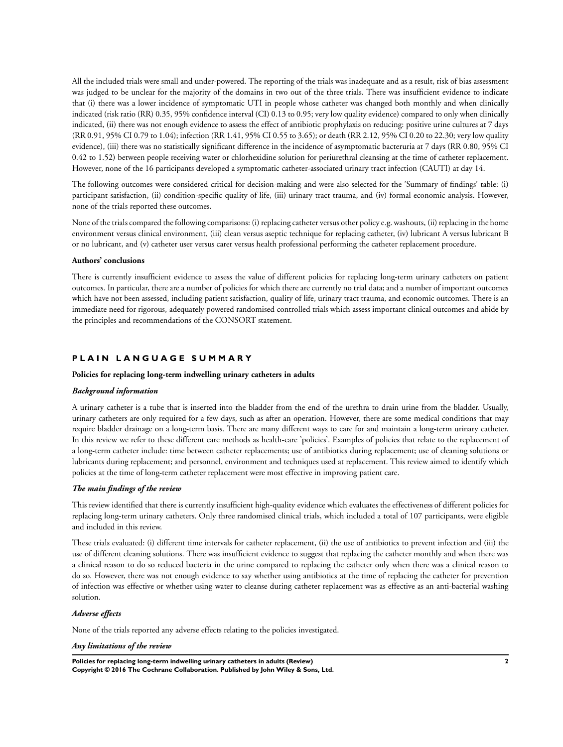All the included trials were small and under-powered. The reporting of the trials was inadequate and as a result, risk of bias assessment was judged to be unclear for the majority of the domains in two out of the three trials. There was insufficient evidence to indicate that (i) there was a lower incidence of symptomatic UTI in people whose catheter was changed both monthly and when clinically indicated (risk ratio (RR) 0.35, 95% confidence interval (CI) 0.13 to 0.95; very low quality evidence) compared to only when clinically indicated, (ii) there was not enough evidence to assess the effect of antibiotic prophylaxis on reducing: positive urine cultures at 7 days (RR 0.91, 95% CI 0.79 to 1.04); infection (RR 1.41, 95% CI 0.55 to 3.65); or death (RR 2.12, 95% CI 0.20 to 22.30; very low quality evidence), (iii) there was no statistically significant difference in the incidence of asymptomatic bacteruria at 7 days (RR 0.80, 95% CI 0.42 to 1.52) between people receiving water or chlorhexidine solution for periurethral cleansing at the time of catheter replacement. However, none of the 16 participants developed a symptomatic catheter-associated urinary tract infection (CAUTI) at day 14.

The following outcomes were considered critical for decision-making and were also selected for the 'Summary of findings' table: (i) participant satisfaction, (ii) condition-specific quality of life, (iii) urinary tract trauma, and (iv) formal economic analysis. However, none of the trials reported these outcomes.

None of the trials compared the following comparisons: (i) replacing catheter versus other policy e.g. washouts, (ii) replacing in the home environment versus clinical environment, (iii) clean versus aseptic technique for replacing catheter, (iv) lubricant A versus lubricant B or no lubricant, and (v) catheter user versus carer versus health professional performing the catheter replacement procedure.

#### **Authors' conclusions**

There is currently insufficient evidence to assess the value of different policies for replacing long-term urinary catheters on patient outcomes. In particular, there are a number of policies for which there are currently no trial data; and a number of important outcomes which have not been assessed, including patient satisfaction, quality of life, urinary tract trauma, and economic outcomes. There is an immediate need for rigorous, adequately powered randomised controlled trials which assess important clinical outcomes and abide by the principles and recommendations of the CONSORT statement.

# **P L A I N L A N G U A G E S U M M A R Y**

#### **Policies for replacing long-term indwelling urinary catheters in adults**

#### *Background information*

A urinary catheter is a tube that is inserted into the bladder from the end of the urethra to drain urine from the bladder. Usually, urinary catheters are only required for a few days, such as after an operation. However, there are some medical conditions that may require bladder drainage on a long-term basis. There are many different ways to care for and maintain a long-term urinary catheter. In this review we refer to these different care methods as health-care 'policies'. Examples of policies that relate to the replacement of a long-term catheter include: time between catheter replacements; use of antibiotics during replacement; use of cleaning solutions or lubricants during replacement; and personnel, environment and techniques used at replacement. This review aimed to identify which policies at the time of long-term catheter replacement were most effective in improving patient care.

# *The main findings of the review*

This review identified that there is currently insufficient high-quality evidence which evaluates the effectiveness of different policies for replacing long-term urinary catheters. Only three randomised clinical trials, which included a total of 107 participants, were eligible and included in this review.

These trials evaluated: (i) different time intervals for catheter replacement, (ii) the use of antibiotics to prevent infection and (iii) the use of different cleaning solutions. There was insufficient evidence to suggest that replacing the catheter monthly and when there was a clinical reason to do so reduced bacteria in the urine compared to replacing the catheter only when there was a clinical reason to do so. However, there was not enough evidence to say whether using antibiotics at the time of replacing the catheter for prevention of infection was effective or whether using water to cleanse during catheter replacement was as effective as an anti-bacterial washing solution.

#### *Adverse effects*

None of the trials reported any adverse effects relating to the policies investigated.

#### *Any limitations of the review*

**Policies for replacing long-term indwelling urinary catheters in adults (Review) 2 Copyright © 2016 The Cochrane Collaboration. Published by John Wiley & Sons, Ltd.**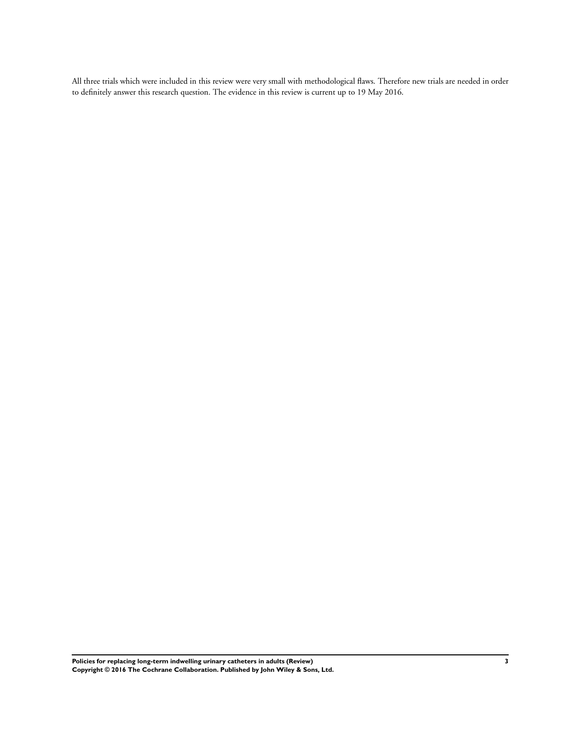All three trials which were included in this review were very small with methodological flaws. Therefore new trials are needed in order to definitely answer this research question. The evidence in this review is current up to 19 May 2016.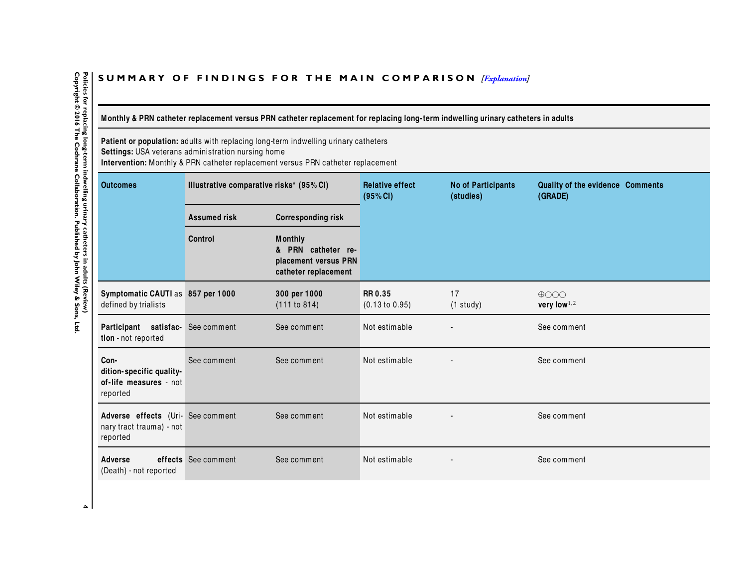# <span id="page-5-0"></span>SUMMARY OF FINDINGS FOR THE MAIN COMPARISON *[\[Explanation\]](http://www.thecochranelibrary.com/view/0/SummaryFindings.html)*

Monthly & PRN catheter replacement versus PRN catheter replacement for replacing long-term indwelling urinary catheters in adults

**Patient or population:** adults with replacing long-term indwelling urinary catheters

**Settings:** USA veterans administration nursing home

**Intervention:** Monthly & PRN catheter replacement versus PRN catheter replacement

| <b>Outcomes</b>                                                           | Illustrative comparative risks* (95% CI) |                                                                                      | <b>Relative effect</b><br>(95% CI) | <b>No of Participants</b><br>(studies) | Quality of the evidence Comments<br>(GRADE) |
|---------------------------------------------------------------------------|------------------------------------------|--------------------------------------------------------------------------------------|------------------------------------|----------------------------------------|---------------------------------------------|
|                                                                           | <b>Assumed risk</b>                      | <b>Corresponding risk</b>                                                            |                                    |                                        |                                             |
|                                                                           | <b>Control</b>                           | <b>Monthly</b><br>& PRN catheter re-<br>placement versus PRN<br>catheter replacement |                                    |                                        |                                             |
| Symptomatic CAUTI as 857 per 1000<br>defined by trialists                 |                                          | 300 per 1000<br>(111 to 814)                                                         | <b>RR0.35</b><br>(0.13 to 0.95)    | 17<br>$(1$ study)                      | $\bigoplus$ OOO<br>very low $^{1,2}$        |
| Participant satisfac- See comment<br>tion - not reported                  |                                          | See comment                                                                          | Not estimable                      |                                        | See comment                                 |
| Con-<br>dition-specific quality-<br>of-life measures - not<br>reported    | See comment                              | See comment                                                                          | Not estimable                      |                                        | See comment                                 |
| Adverse effects (Uri- See comment<br>nary tract trauma) - not<br>reported |                                          | See comment                                                                          | Not estimable                      |                                        | See comment                                 |
| <b>Adverse</b><br>(Death) - not reported                                  | effects See comment                      | See comment                                                                          | Not estimable                      |                                        | See comment                                 |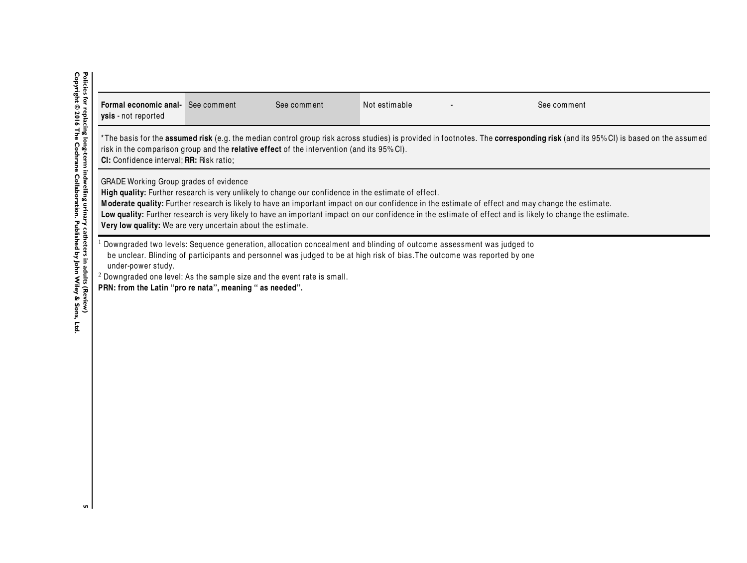| <b>Formal economic anal-</b> See comment<br><b>ysis</b> - not reported                                                                                                                                                                                                                                                                                                                                                                                                                                                          |                                                                                                                                                                                                                                                                                                                                            | See comment | Not estimable | See comment |  |  |  |  |
|---------------------------------------------------------------------------------------------------------------------------------------------------------------------------------------------------------------------------------------------------------------------------------------------------------------------------------------------------------------------------------------------------------------------------------------------------------------------------------------------------------------------------------|--------------------------------------------------------------------------------------------------------------------------------------------------------------------------------------------------------------------------------------------------------------------------------------------------------------------------------------------|-------------|---------------|-------------|--|--|--|--|
|                                                                                                                                                                                                                                                                                                                                                                                                                                                                                                                                 | *The basis for the <b>assumed risk</b> (e.g. the median control group risk across studies) is provided in footnotes. The <b>corresponding risk</b> (and its 95%CI) is based on the assumed<br>risk in the comparison group and the <b>relative effect</b> of the intervention (and its 95%CI).<br>CI: Confidence interval; RR: Risk ratio; |             |               |             |  |  |  |  |
| GRADE Working Group grades of evidence<br>High quality: Further research is very unlikely to change our confidence in the estimate of effect.<br>Moderate quality: Further research is likely to have an important impact on our confidence in the estimate of effect and may change the estimate.<br>Low quality: Further research is very likely to have an important impact on our confidence in the estimate of effect and is likely to change the estimate.<br>Very low quality: We are very uncertain about the estimate. |                                                                                                                                                                                                                                                                                                                                            |             |               |             |  |  |  |  |
| Downgraded two levels: Sequence generation, allocation concealment and blinding of outcome assessment was judged to<br>be unclear. Blinding of participants and personnel was judged to be at high risk of bias. The outcome was reported by one<br>under-power study.<br>$2$ Downgraded one level: As the sample size and the event rate is small.<br>PRN: from the Latin "pro re nata", meaning " as needed".                                                                                                                 |                                                                                                                                                                                                                                                                                                                                            |             |               |             |  |  |  |  |

Policies for replacing long-term indwelling urinary catheters in adults (Review)<br>Copyright © 2016 The Cochrane Collaboration. Published by John Wiley & Sons, Ltd. **Copyright © 2016 The Cochrane Collaboration. Published by John Wiley & Sons, Ltd.5 Policies for replacing long-term** indwelling urinary catheters in additional computation on  $\mathbf{r}$  . The constant of  $\mathbf{r}$ 

 $\sqrt{2}$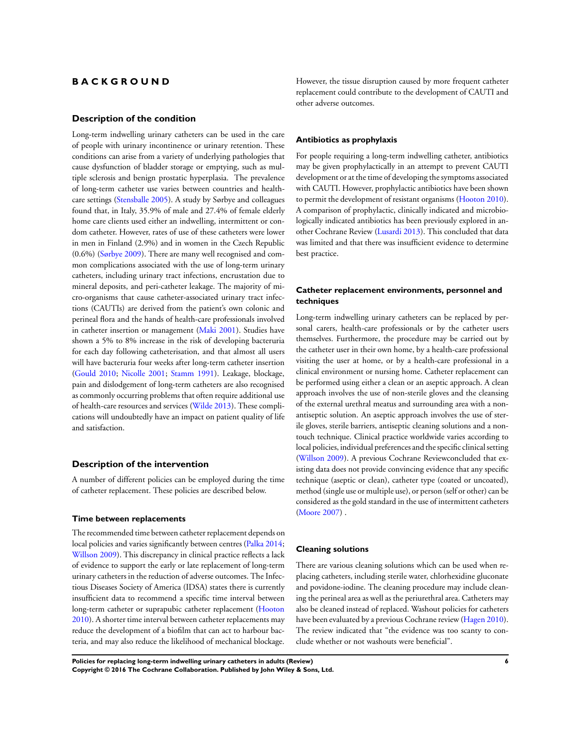# **B A C K G R O U N D**

#### **Description of the condition**

Long-term indwelling urinary catheters can be used in the care of people with urinary incontinence or urinary retention. These conditions can arise from a variety of underlying pathologies that cause dysfunction of bladder storage or emptying, such as multiple sclerosis and benign prostatic hyperplasia. The prevalence of long-term catheter use varies between countries and healthcare settings [\(Stensballe 2005\)](#page-23-0). A study by Sørbye and colleagues found that, in Italy, 35.9% of male and 27.4% of female elderly home care clients used either an indwelling, intermittent or condom catheter. However, rates of use of these catheters were lower in men in Finland (2.9%) and in women in the Czech Republic (0.6%) ([Sørbye 2009\)](#page-23-0). There are many well recognised and common complications associated with the use of long-term urinary catheters, including urinary tract infections, encrustation due to mineral deposits, and peri-catheter leakage. The majority of micro-organisms that cause catheter-associated urinary tract infections (CAUTIs) are derived from the patient's own colonic and perineal flora and the hands of health-care professionals involved in catheter insertion or management ([Maki 2001\)](#page-23-0). Studies have shown a 5% to 8% increase in the risk of developing bacteruria for each day following catheterisation, and that almost all users will have bacteruria four weeks after long-term catheter insertion [\(Gould 2010;](#page-23-0) [Nicolle 2001](#page-23-0); [Stamm 1991\)](#page-23-0). Leakage, blockage, pain and dislodgement of long-term catheters are also recognised as commonly occurring problems that often require additional use of health-care resources and services ([Wilde 2013\)](#page-23-0). These complications will undoubtedly have an impact on patient quality of life and satisfaction.

#### **Description of the intervention**

A number of different policies can be employed during the time of catheter replacement. These policies are described below.

#### **Time between replacements**

The recommended time between catheter replacement depends on local policies and varies significantly between centres ([Palka 2014;](#page-23-0) [Willson 2009\)](#page-23-0). This discrepancy in clinical practice reflects a lack of evidence to support the early or late replacement of long-term urinary catheters in the reduction of adverse outcomes. The Infectious Diseases Society of America (IDSA) states there is currently insufficient data to recommend a specific time interval between long-term catheter or suprapubic catheter replacement [\(Hooton](#page-23-0) [2010](#page-23-0)). A shorter time interval between catheter replacements may reduce the development of a biofilm that can act to harbour bacteria, and may also reduce the likelihood of mechanical blockage.

However, the tissue disruption caused by more frequent catheter replacement could contribute to the development of CAUTI and other adverse outcomes.

## **Antibiotics as prophylaxis**

For people requiring a long-term indwelling catheter, antibiotics may be given prophylactically in an attempt to prevent CAUTI development or at the time of developing the symptoms associated with CAUTI. However, prophylactic antibiotics have been shown to permit the development of resistant organisms ([Hooton 2010](#page-23-0)). A comparison of prophylactic, clinically indicated and microbiologically indicated antibiotics has been previously explored in another Cochrane Review [\(Lusardi 2013\)](#page-23-0). This concluded that data was limited and that there was insufficient evidence to determine best practice.

# **Catheter replacement environments, personnel and techniques**

Long-term indwelling urinary catheters can be replaced by personal carers, health-care professionals or by the catheter users themselves. Furthermore, the procedure may be carried out by the catheter user in their own home, by a health-care professional visiting the user at home, or by a health-care professional in a clinical environment or nursing home. Catheter replacement can be performed using either a clean or an aseptic approach. A clean approach involves the use of non-sterile gloves and the cleansing of the external urethral meatus and surrounding area with a nonantiseptic solution. An aseptic approach involves the use of sterile gloves, sterile barriers, antiseptic cleaning solutions and a nontouch technique. Clinical practice worldwide varies according to local policies, individual preferences and the specific clinical setting [\(Willson 2009\)](#page-23-0). A previous Cochrane Reviewconcluded that existing data does not provide convincing evidence that any specific technique (aseptic or clean), catheter type (coated or uncoated), method (single use or multiple use), or person (self or other) can be considered as the gold standard in the use of intermittent catheters [\(Moore 2007\)](#page-23-0) .

#### **Cleaning solutions**

There are various cleaning solutions which can be used when replacing catheters, including sterile water, chlorhexidine gluconate and povidone-iodine. The cleaning procedure may include cleaning the perineal area as well as the periurethral area. Catheters may also be cleaned instead of replaced. Washout policies for catheters have been evaluated by a previous Cochrane review [\(Hagen 2010](#page-23-0)). The review indicated that "the evidence was too scanty to conclude whether or not washouts were beneficial".

**Policies for replacing long-term indwelling urinary catheters in adults (Review) 6 Copyright © 2016 The Cochrane Collaboration. Published by John Wiley & Sons, Ltd.**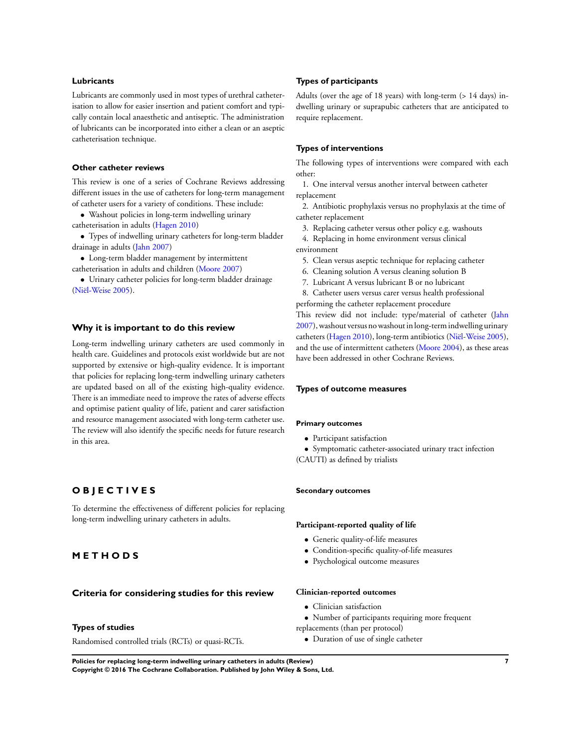#### **Lubricants**

Lubricants are commonly used in most types of urethral catheterisation to allow for easier insertion and patient comfort and typically contain local anaesthetic and antiseptic. The administration of lubricants can be incorporated into either a clean or an aseptic catheterisation technique.

## **Other catheter reviews**

This review is one of a series of Cochrane Reviews addressing different issues in the use of catheters for long-term management of catheter users for a variety of conditions. These include:

• Washout policies in long-term indwelling urinary catheterisation in adults [\(Hagen 2010](#page-23-0))

• Types of indwelling urinary catheters for long-term bladder drainage in adults [\(Jahn 2007](#page-23-0))

• Long-term bladder management by intermittent

catheterisation in adults and children [\(Moore 2007\)](#page-23-0)

• Urinary catheter policies for long-term bladder drainage [\(Niël-Weise 2005](#page-23-0)).

#### **Why it is important to do this review**

Long-term indwelling urinary catheters are used commonly in health care. Guidelines and protocols exist worldwide but are not supported by extensive or high-quality evidence. It is important that policies for replacing long-term indwelling urinary catheters are updated based on all of the existing high-quality evidence. There is an immediate need to improve the rates of adverse effects and optimise patient quality of life, patient and carer satisfaction and resource management associated with long-term catheter use. The review will also identify the specific needs for future research in this area.

# **O B J E C T I V E S**

To determine the effectiveness of different policies for replacing long-term indwelling urinary catheters in adults.

# **M E T H O D S**

#### **Criteria for considering studies for this review**

# **Types of studies**

Randomised controlled trials (RCTs) or quasi-RCTs.

#### **Types of participants**

Adults (over the age of 18 years) with long-term (> 14 days) indwelling urinary or suprapubic catheters that are anticipated to require replacement.

#### **Types of interventions**

The following types of interventions were compared with each other:

1. One interval versus another interval between catheter replacement

2. Antibiotic prophylaxis versus no prophylaxis at the time of catheter replacement

3. Replacing catheter versus other policy e.g. washouts

4. Replacing in home environment versus clinical environment

5. Clean versus aseptic technique for replacing catheter

- 6. Cleaning solution A versus cleaning solution B
- 7. Lubricant A versus lubricant B or no lubricant

8. Catheter users versus carer versus health professional

performing the catheter replacement procedure This review did not include: type/material of catheter [\(Jahn](#page-23-0) [2007](#page-23-0)), washout versus no washout in long-term indwelling urinary catheters [\(Hagen 2010](#page-23-0)), long-term antibiotics [\(Niël-Weise 2005](#page-23-0)), and the use of intermittent catheters [\(Moore 2004](#page-23-0)), as these areas have been addressed in other Cochrane Reviews.

#### **Types of outcome measures**

#### **Primary outcomes**

• Participant satisfaction

• Symptomatic catheter-associated urinary tract infection (CAUTI) as defined by trialists

#### **Secondary outcomes**

#### **Participant-reported quality of life**

- Generic quality-of-life measures
- Condition-specific quality-of-life measures
- Psychological outcome measures

## **Clinician-reported outcomes**

- Clinician satisfaction
- Number of participants requiring more frequent
- replacements (than per protocol)
	- Duration of use of single catheter

**Policies for replacing long-term indwelling urinary catheters in adults (Review) 7 Copyright © 2016 The Cochrane Collaboration. Published by John Wiley & Sons, Ltd.**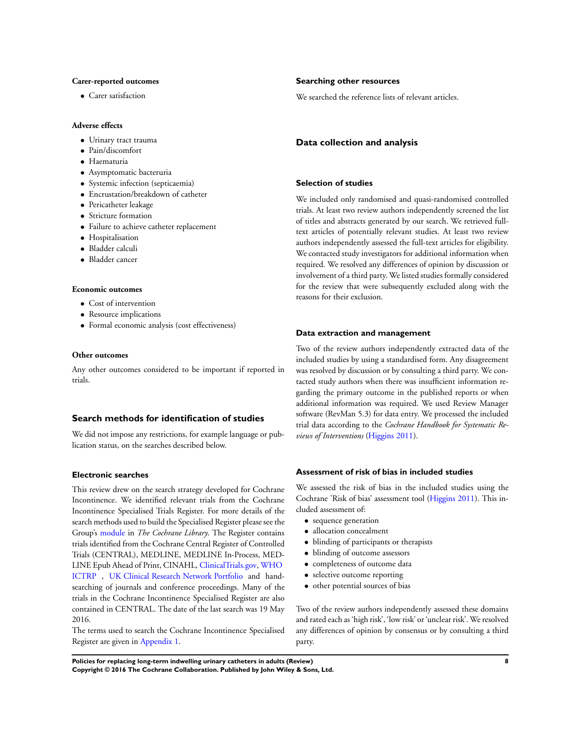#### **Carer-reported outcomes**

• Carer satisfaction

# **Adverse effects**

- Urinary tract trauma
- Pain/discomfort
- Haematuria
- Asymptomatic bacteruria
- Systemic infection (septicaemia)
- Encrustation/breakdown of catheter
- Pericatheter leakage
- Stricture formation
- Failure to achieve catheter replacement
- Hospitalisation
- Bladder calculi
- Bladder cancer

## **Economic outcomes**

- Cost of intervention
- Resource implications
- Formal economic analysis (cost effectiveness)

#### **Other outcomes**

Any other outcomes considered to be important if reported in trials.

#### **Search methods for identification of studies**

We did not impose any restrictions, for example language or publication status, on the searches described below.

#### **Electronic searches**

This review drew on the search strategy developed for Cochrane Incontinence. We identified relevant trials from the Cochrane Incontinence Specialised Trials Register. For more details of the search methods used to build the Specialised Register please see the Group's [module](http://onlinelibrary.wiley.com/o/cochrane/clabout/articles/INCONT/frame.html) in *The Cochrane Library*. The Register contains trials identified from the Cochrane Central Register of Controlled Trials (CENTRAL), MEDLINE, MEDLINE In-Process, MED-LINE Epub Ahead of Print, CINAHL, [ClinicalTrials.gov,](https://clinicaltrials.gov/) [WHO](http://apps.who.int/trialsearch/) [ICTRP](http://apps.who.int/trialsearch/) , [UK Clinical Research Network Portfolio](http://public.ukcrn.org.uk/search/) and handsearching of journals and conference proceedings. Many of the trials in the Cochrane Incontinence Specialised Register are also contained in CENTRAL. The date of the last search was 19 May 2016.

The terms used to search the Cochrane Incontinence Specialised Register are given in [Appendix 1](#page-41-0).

#### **Searching other resources**

We searched the reference lists of relevant articles.

#### **Data collection and analysis**

#### **Selection of studies**

We included only randomised and quasi-randomised controlled trials. At least two review authors independently screened the list of titles and abstracts generated by our search. We retrieved fulltext articles of potentially relevant studies. At least two review authors independently assessed the full-text articles for eligibility. We contacted study investigators for additional information when required. We resolved any differences of opinion by discussion or involvement of a third party. We listed studies formally considered for the review that were subsequently excluded along with the reasons for their exclusion.

#### **Data extraction and management**

Two of the review authors independently extracted data of the included studies by using a standardised form. Any disagreement was resolved by discussion or by consulting a third party. We contacted study authors when there was insufficient information regarding the primary outcome in the published reports or when additional information was required. We used Review Manager software (RevMan 5.3) for data entry. We processed the included trial data according to the *Cochrane Handbook for Systematic Reviews of Interventions* ([Higgins 2011](#page-23-0)).

# **Assessment of risk of bias in included studies**

We assessed the risk of bias in the included studies using the Cochrane 'Risk of bias' assessment tool ([Higgins 2011](#page-23-0)). This included assessment of:

- sequence generation
- allocation concealment
- blinding of participants or therapists
- blinding of outcome assessors
- completeness of outcome data
- selective outcome reporting
- other potential sources of bias

Two of the review authors independently assessed these domains and rated each as 'high risk', 'low risk' or 'unclear risk'. We resolved any differences of opinion by consensus or by consulting a third party.

**Policies for replacing long-term indwelling urinary catheters in adults (Review) 8 Copyright © 2016 The Cochrane Collaboration. Published by John Wiley & Sons, Ltd.**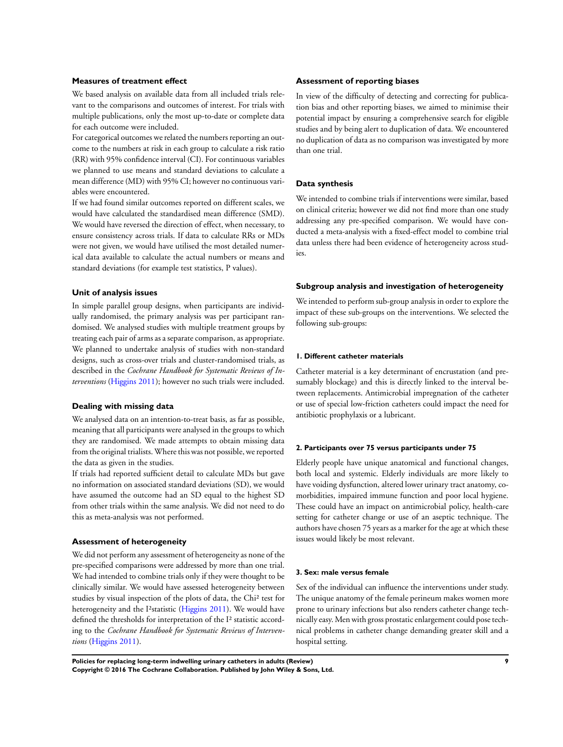#### **Measures of treatment effect**

We based analysis on available data from all included trials relevant to the comparisons and outcomes of interest. For trials with multiple publications, only the most up-to-date or complete data for each outcome were included.

For categorical outcomes we related the numbers reporting an outcome to the numbers at risk in each group to calculate a risk ratio (RR) with 95% confidence interval (CI). For continuous variables we planned to use means and standard deviations to calculate a mean difference (MD) with 95% CI; however no continuous variables were encountered.

If we had found similar outcomes reported on different scales, we would have calculated the standardised mean difference (SMD). We would have reversed the direction of effect, when necessary, to ensure consistency across trials. If data to calculate RRs or MDs were not given, we would have utilised the most detailed numerical data available to calculate the actual numbers or means and standard deviations (for example test statistics, P values).

# **Unit of analysis issues**

In simple parallel group designs, when participants are individually randomised, the primary analysis was per participant randomised. We analysed studies with multiple treatment groups by treating each pair of arms as a separate comparison, as appropriate. We planned to undertake analysis of studies with non-standard designs, such as cross-over trials and cluster-randomised trials, as described in the *Cochrane Handbook for Systematic Reviews of Interventions* [\(Higgins 2011\)](#page-23-0); however no such trials were included.

#### **Dealing with missing data**

We analysed data on an intention-to-treat basis, as far as possible, meaning that all participants were analysed in the groups to which they are randomised. We made attempts to obtain missing data from the original trialists. Where this was not possible, we reported the data as given in the studies.

If trials had reported sufficient detail to calculate MDs but gave no information on associated standard deviations (SD), we would have assumed the outcome had an SD equal to the highest SD from other trials within the same analysis. We did not need to do this as meta-analysis was not performed.

#### **Assessment of heterogeneity**

We did not perform any assessment of heterogeneity as none of the pre-specified comparisons were addressed by more than one trial. We had intended to combine trials only if they were thought to be clinically similar. We would have assessed heterogeneity between studies by visual inspection of the plots of data, the Chi² test for heterogeneity and the I<sup>2</sup>statistic ([Higgins 2011\)](#page-23-0). We would have defined the thresholds for interpretation of the I² statistic according to the *Cochrane Handbook for Systematic Reviews of Interventions* ([Higgins 2011](#page-23-0)).

#### **Assessment of reporting biases**

In view of the difficulty of detecting and correcting for publication bias and other reporting biases, we aimed to minimise their potential impact by ensuring a comprehensive search for eligible studies and by being alert to duplication of data. We encountered no duplication of data as no comparison was investigated by more than one trial.

#### **Data synthesis**

We intended to combine trials if interventions were similar, based on clinical criteria; however we did not find more than one study addressing any pre-specified comparison. We would have conducted a meta-analysis with a fixed-effect model to combine trial data unless there had been evidence of heterogeneity across studies.

#### **Subgroup analysis and investigation of heterogeneity**

We intended to perform sub-group analysis in order to explore the impact of these sub-groups on the interventions. We selected the following sub-groups:

## **1. Different catheter materials**

Catheter material is a key determinant of encrustation (and presumably blockage) and this is directly linked to the interval between replacements. Antimicrobial impregnation of the catheter or use of special low-friction catheters could impact the need for antibiotic prophylaxis or a lubricant.

#### **2. Participants over 75 versus participants under 75**

Elderly people have unique anatomical and functional changes, both local and systemic. Elderly individuals are more likely to have voiding dysfunction, altered lower urinary tract anatomy, comorbidities, impaired immune function and poor local hygiene. These could have an impact on antimicrobial policy, health-care setting for catheter change or use of an aseptic technique. The authors have chosen 75 years as a marker for the age at which these issues would likely be most relevant.

#### **3. Sex: male versus female**

Sex of the individual can influence the interventions under study. The unique anatomy of the female perineum makes women more prone to urinary infections but also renders catheter change technically easy. Men with gross prostatic enlargement could pose technical problems in catheter change demanding greater skill and a hospital setting.

**Policies for replacing long-term indwelling urinary catheters in adults (Review) 9 Copyright © 2016 The Cochrane Collaboration. Published by John Wiley & Sons, Ltd.**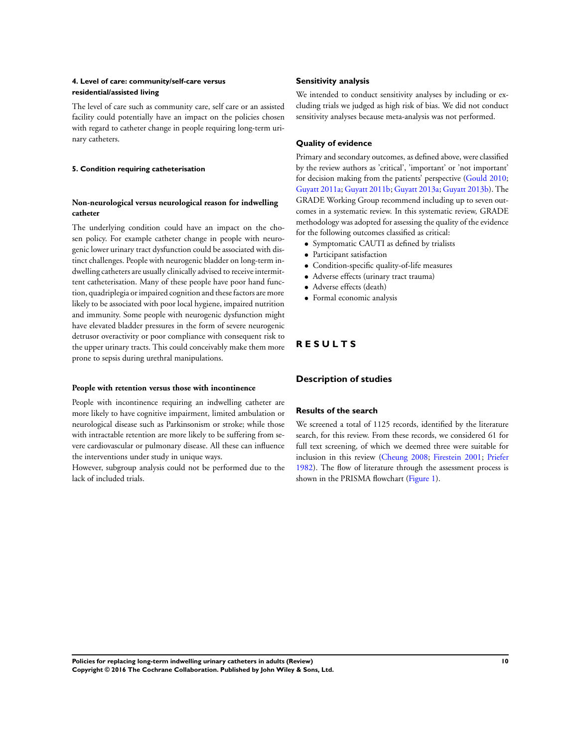# **4. Level of care: community/self-care versus residential/assisted living**

The level of care such as community care, self care or an assisted facility could potentially have an impact on the policies chosen with regard to catheter change in people requiring long-term urinary catheters.

#### **5. Condition requiring catheterisation**

# **Non-neurological versus neurological reason for indwelling catheter**

The underlying condition could have an impact on the chosen policy. For example catheter change in people with neurogenic lower urinary tract dysfunction could be associated with distinct challenges. People with neurogenic bladder on long-term indwelling catheters are usually clinically advised to receive intermittent catheterisation. Many of these people have poor hand function, quadriplegia or impaired cognition and these factors are more likely to be associated with poor local hygiene, impaired nutrition and immunity. Some people with neurogenic dysfunction might have elevated bladder pressures in the form of severe neurogenic detrusor overactivity or poor compliance with consequent risk to the upper urinary tracts. This could conceivably make them more prone to sepsis during urethral manipulations.

#### **People with retention versus those with incontinence**

People with incontinence requiring an indwelling catheter are more likely to have cognitive impairment, limited ambulation or neurological disease such as Parkinsonism or stroke; while those with intractable retention are more likely to be suffering from severe cardiovascular or pulmonary disease. All these can influence the interventions under study in unique ways.

However, subgroup analysis could not be performed due to the lack of included trials.

### **Sensitivity analysis**

We intended to conduct sensitivity analyses by including or excluding trials we judged as high risk of bias. We did not conduct sensitivity analyses because meta-analysis was not performed.

# **Quality of evidence**

Primary and secondary outcomes, as defined above, were classified by the review authors as 'critical', 'important' or 'not important' for decision making from the patients' perspective ([Gould 2010;](#page-23-0) [Guyatt 2011a;](#page-23-0) [Guyatt 2011b](#page-23-0); [Guyatt 2013a;](#page-23-0) [Guyatt 2013b](#page-23-0)). The GRADE Working Group recommend including up to seven outcomes in a systematic review. In this systematic review, GRADE methodology was adopted for assessing the quality of the evidence for the following outcomes classified as critical:

- Symptomatic CAUTI as defined by trialists
- Participant satisfaction
- Condition-specific quality-of-life measures
- Adverse effects (urinary tract trauma)
- Adverse effects (death)
- Formal economic analysis

# **R E S U L T S**

# **Description of studies**

# **Results of the search**

We screened a total of 1125 records, identified by the literature search, for this review. From these records, we considered 61 for full text screening, of which we deemed three were suitable for inclusion in this review ([Cheung 2008](#page-23-0); [Firestein 2001;](#page-23-0) [Priefer](#page-23-0) [1982](#page-23-0)). The flow of literature through the assessment process is shown in the PRISMA flowchart [\(Figure 1](#page-12-0)).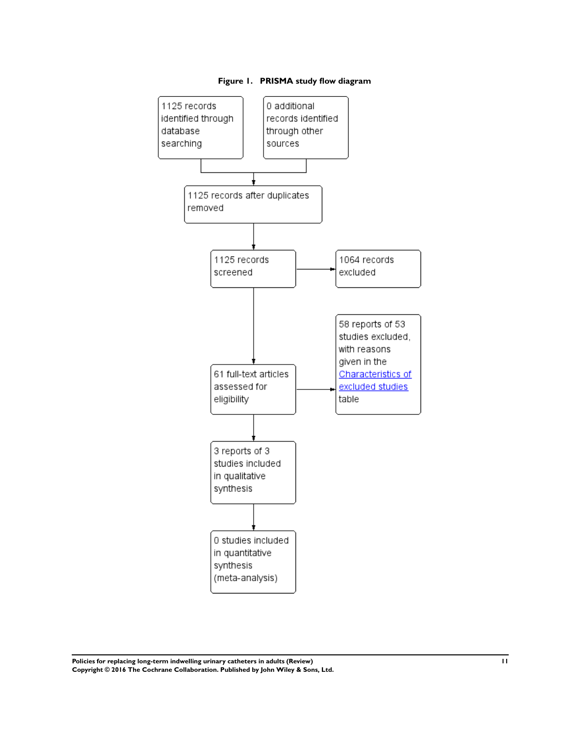<span id="page-12-0"></span>

**Figure 1. PRISMA study flow diagram**

**Policies for replacing long-term indwelling urinary catheters in adults (Review) 11 Copyright © 2016 The Cochrane Collaboration. Published by John Wiley & Sons, Ltd.**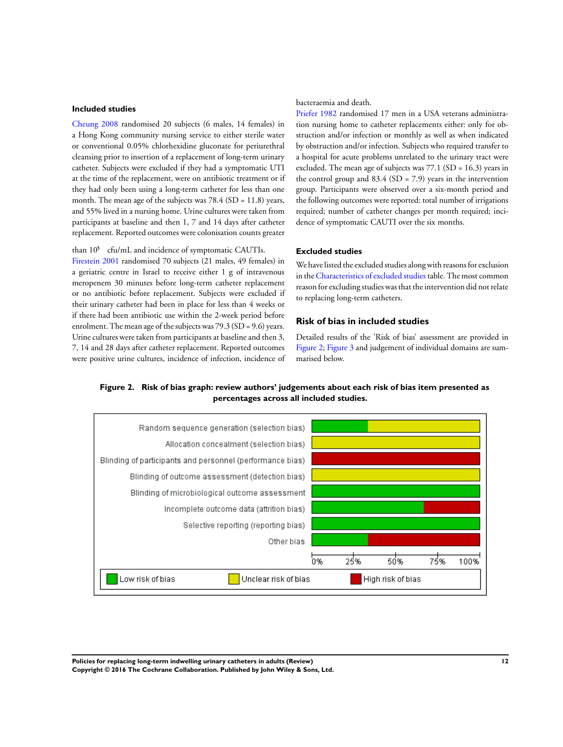#### **Included studies**

[Cheung 2008](#page-23-0) randomised 20 subjects (6 males, 14 females) in a Hong Kong community nursing service to either sterile water or conventional 0.05% chlorhexidine gluconate for periurethral cleansing prior to insertion of a replacement of long-term urinary catheter. Subjects were excluded if they had a symptomatic UTI at the time of the replacement, were on antibiotic treatment or if they had only been using a long-term catheter for less than one month. The mean age of the subjects was 78.4 (SD = 11.8) years, and 55% lived in a nursing home. Urine cultures were taken from participants at baseline and then 1, 7 and 14 days after catheter replacement. Reported outcomes were colonisation counts greater

than  $10^5$  cfu/mL and incidence of symptomatic CAUTIs. [Firestein 2001](#page-23-0) randomised 70 subjects (21 males, 49 females) in a geriatric centre in Israel to receive either 1 g of intravenous meropenem 30 minutes before long-term catheter replacement or no antibiotic before replacement. Subjects were excluded if their urinary catheter had been in place for less than 4 weeks or if there had been antibiotic use within the 2-week period before enrolment. The mean age of the subjects was 79.3 (SD = 9.6) years. Urine cultures were taken from participants at baseline and then 3, 7, 14 and 28 days after catheter replacement. Reported outcomes were positive urine cultures, incidence of infection, incidence of

bacteraemia and death.

[Priefer 1982](#page-23-0) randomised 17 men in a USA veterans administration nursing home to catheter replacements either: only for obstruction and/or infection or monthly as well as when indicated by obstruction and/or infection. Subjects who required transfer to a hospital for acute problems unrelated to the urinary tract were excluded. The mean age of subjects was 77.1 (SD = 16.3) years in the control group and  $83.4$  (SD = 7.9) years in the intervention group. Participants were observed over a six-month period and the following outcomes were reported: total number of irrigations required; number of catheter changes per month required; incidence of symptomatic CAUTI over the six months.

# **Excluded studies**

We have listed the excluded studies along with reasons for exclusion in the[Characteristics of excluded studies](#page-33-0) table. The most common reason for excluding studies was that the intervention did not relate to replacing long-term catheters.

### **Risk of bias in included studies**

Detailed results of the 'Risk of bias' assessment are provided in Figure 2; [Figure 3](#page-14-0) and judgement of individual domains are summarised below.





**Policies for replacing long-term indwelling urinary catheters in adults (Review) 12 Copyright © 2016 The Cochrane Collaboration. Published by John Wiley & Sons, Ltd.**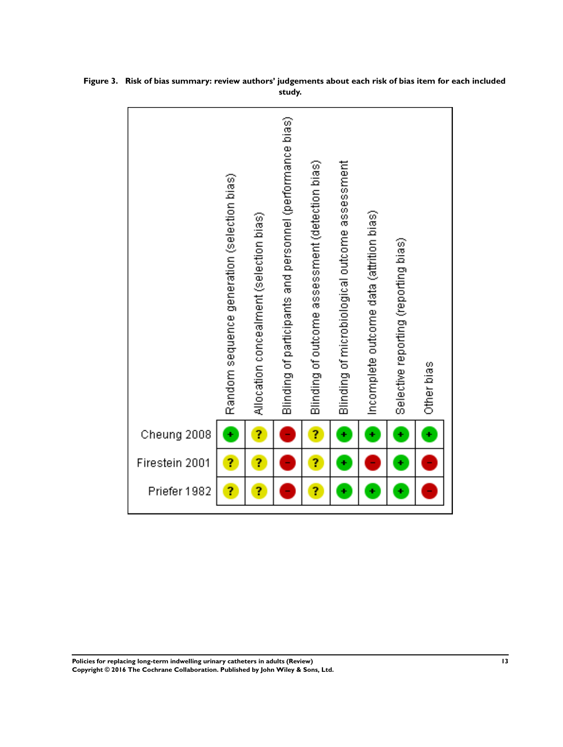|                | Random sequence generation (selection bias) | Allocation concealment (selection bias) | Blinding of participants and personnel (performance bias) | Blinding of outcome assessment (detection bias) | Blinding of microbiological outcome assessment | Incomplete outcome data (attrition bias) | Selective reporting (reporting bias) | Other bias |
|----------------|---------------------------------------------|-----------------------------------------|-----------------------------------------------------------|-------------------------------------------------|------------------------------------------------|------------------------------------------|--------------------------------------|------------|
| Cheung 2008    | ÷                                           | Ĩ,                                      |                                                           | Ĩ,                                              | ¥                                              | ¥                                        | ٠                                    | ¥          |
| Firestein 2001 | ş,                                          | ?                                       |                                                           | Ĩ,                                              | ÷                                              |                                          | ٠                                    |            |
| Priefer 1982   | ?                                           | ?                                       |                                                           | ?                                               | ÷                                              | ÷                                        |                                      |            |

<span id="page-14-0"></span>**Figure 3. Risk of bias summary: review authors' judgements about each risk of bias item for each included study.**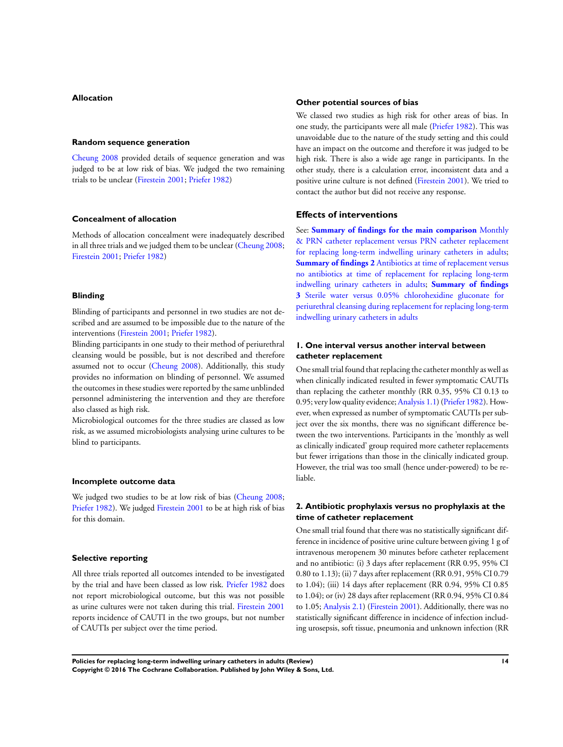# **Allocation**

#### **Random sequence generation**

[Cheung 2008](#page-23-0) provided details of sequence generation and was judged to be at low risk of bias. We judged the two remaining trials to be unclear [\(Firestein 2001](#page-23-0); [Priefer 1982\)](#page-23-0)

#### **Concealment of allocation**

Methods of allocation concealment were inadequately described in all three trials and we judged them to be unclear ([Cheung 2008;](#page-23-0) [Firestein 2001](#page-23-0); [Priefer 1982\)](#page-23-0)

#### **Blinding**

Blinding of participants and personnel in two studies are not described and are assumed to be impossible due to the nature of the interventions [\(Firestein 2001;](#page-23-0) [Priefer 1982](#page-23-0)).

Blinding participants in one study to their method of periurethral cleansing would be possible, but is not described and therefore assumed not to occur [\(Cheung 2008\)](#page-23-0). Additionally, this study provides no information on blinding of personnel. We assumed the outcomes in these studies were reported by the same unblinded personnel administering the intervention and they are therefore also classed as high risk.

Microbiological outcomes for the three studies are classed as low risk, as we assumed microbiologists analysing urine cultures to be blind to participants.

#### **Incomplete outcome data**

We judged two studies to be at low risk of bias [\(Cheung 2008;](#page-23-0) [Priefer 1982](#page-23-0)). We judged [Firestein 2001](#page-23-0) to be at high risk of bias for this domain.

#### **Selective reporting**

All three trials reported all outcomes intended to be investigated by the trial and have been classed as low risk. [Priefer 1982](#page-23-0) does not report microbiological outcome, but this was not possible as urine cultures were not taken during this trial. [Firestein 2001](#page-23-0) reports incidence of CAUTI in the two groups, but not number of CAUTIs per subject over the time period.

#### **Other potential sources of bias**

We classed two studies as high risk for other areas of bias. In one study, the participants were all male [\(Priefer 1982](#page-23-0)). This was unavoidable due to the nature of the study setting and this could have an impact on the outcome and therefore it was judged to be high risk. There is also a wide age range in participants. In the other study, there is a calculation error, inconsistent data and a positive urine culture is not defined ([Firestein 2001](#page-23-0)). We tried to contact the author but did not receive any response.

### **Effects of interventions**

See: **[Summary of findings for the main comparison](#page-5-0)** [Monthly](#page-5-0) [& PRN catheter replacement versus PRN catheter replacement](#page-5-0) [for replacing long-term indwelling urinary catheters in adults;](#page-5-0) **[Summary of findings 2](#page-17-0)** [Antibiotics at time of replacement versus](#page-17-0) [no antibiotics at time of replacement for replacing long-term](#page-17-0) [indwelling urinary catheters in adults](#page-17-0); **[Summary of findings](#page-19-0) [3](#page-19-0)** [Sterile water versus 0.05% chlorohexidine gluconate for](#page-19-0) [periurethral cleansing during replacement for replacing long-term](#page-19-0) [indwelling urinary catheters in adults](#page-19-0)

# **1. One interval versus another interval between catheter replacement**

One small trial found that replacing the catheter monthly as well as when clinically indicated resulted in fewer symptomatic CAUTIs than replacing the catheter monthly (RR 0.35, 95% CI 0.13 to 0.95; very low quality evidence; [Analysis 1.1](#page-37-0)) [\(Priefer 1982](#page-23-0)). However, when expressed as number of symptomatic CAUTIs per subject over the six months, there was no significant difference between the two interventions. Participants in the 'monthly as well as clinically indicated' group required more catheter replacements but fewer irrigations than those in the clinically indicated group. However, the trial was too small (hence under-powered) to be reliable.

# **2. Antibiotic prophylaxis versus no prophylaxis at the time of catheter replacement**

One small trial found that there was no statistically significant difference in incidence of positive urine culture between giving 1 g of intravenous meropenem 30 minutes before catheter replacement and no antibiotic: (i) 3 days after replacement (RR 0.95, 95% CI 0.80 to 1.13); (ii) 7 days after replacement (RR 0.91, 95% CI 0.79 to 1.04); (iii) 14 days after replacement (RR 0.94, 95% CI 0.85 to 1.04); or (iv) 28 days after replacement (RR 0.94, 95% CI 0.84 to 1.05; [Analysis 2.1\)](#page-37-0) ([Firestein 2001](#page-23-0)). Additionally, there was no statistically significant difference in incidence of infection including urosepsis, soft tissue, pneumonia and unknown infection (RR

**Policies for replacing long-term indwelling urinary catheters in adults (Review) 14 Copyright © 2016 The Cochrane Collaboration. Published by John Wiley & Sons, Ltd.**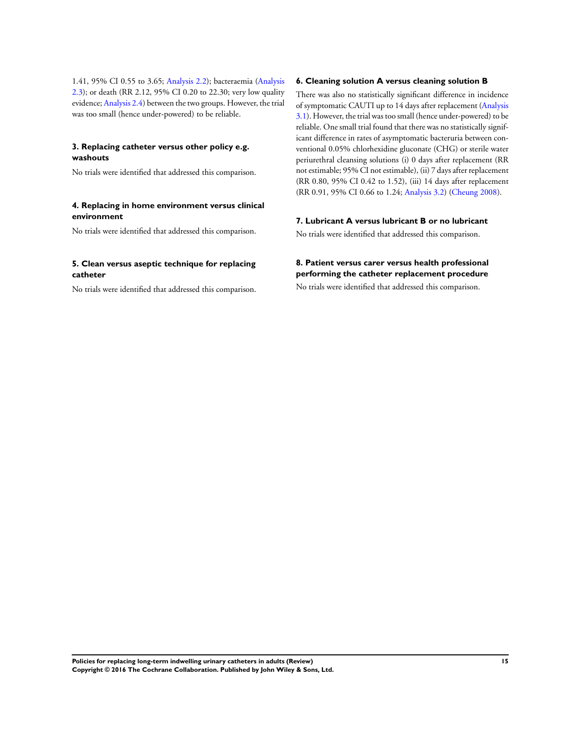1.41, 95% CI 0.55 to 3.65; [Analysis 2.2](#page-38-0)); bacteraemia ([Analysis](#page-39-0) [2.3](#page-39-0)); or death (RR 2.12, 95% CI 0.20 to 22.30; very low quality evidence; [Analysis 2.4\)](#page-39-0) between the two groups. However, the trial was too small (hence under-powered) to be reliable.

# **3. Replacing catheter versus other policy e.g. washouts**

No trials were identified that addressed this comparison.

# **4. Replacing in home environment versus clinical environment**

No trials were identified that addressed this comparison.

# **5. Clean versus aseptic technique for replacing catheter**

No trials were identified that addressed this comparison.

# **6. Cleaning solution A versus cleaning solution B**

There was also no statistically significant difference in incidence of symptomatic CAUTI up to 14 days after replacement ([Analysis](#page-40-0) [3.1](#page-40-0)). However, the trial was too small (hence under-powered) to be reliable. One small trial found that there was no statistically significant difference in rates of asymptomatic bacteruria between conventional 0.05% chlorhexidine gluconate (CHG) or sterile water periurethral cleansing solutions (i) 0 days after replacement (RR not estimable; 95% CI not estimable), (ii) 7 days after replacement (RR 0.80, 95% CI 0.42 to 1.52), (iii) 14 days after replacement (RR 0.91, 95% CI 0.66 to 1.24; [Analysis 3.2](#page-40-0)) ([Cheung 2008](#page-23-0)).

# **7. Lubricant A versus lubricant B or no lubricant**

No trials were identified that addressed this comparison.

# **8. Patient versus carer versus health professional performing the catheter replacement procedure**

No trials were identified that addressed this comparison.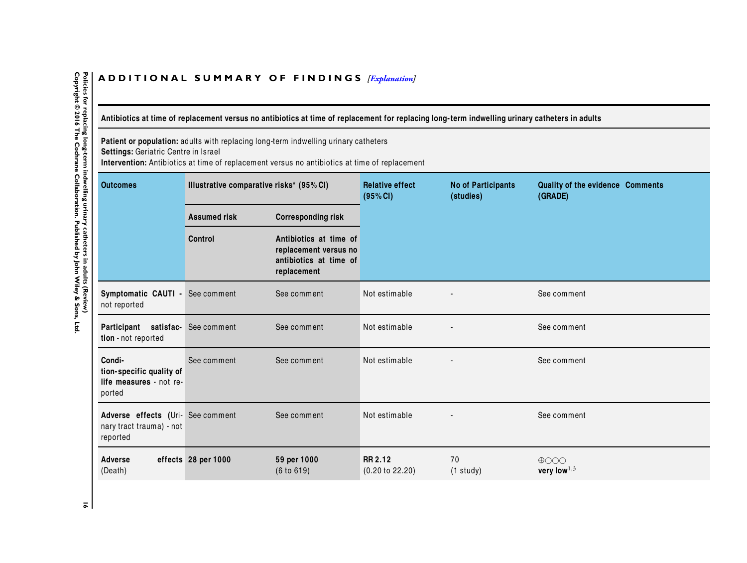# <span id="page-17-0"></span>ADDITIONAL SUMMARY OF FINDINGS *[\[Explanation\]](http://www.thecochranelibrary.com/view/0/SummaryFindings.html)*

# Antibiotics at time of replacement versus no antibiotics at time of replacement for replacing long-term indwelling urinary catheters in adults

**Patient or population:** adults with replacing long-term indwelling urinary catheters **Settings:** Geriatric Centre in Israel

**Intervention:** Antibiotics at time of replacement versus no antibiotics at time of replacement

| <b>Outcomes</b>                                                           | Illustrative comparative risks* (95% CI) |                                                                                          | <b>Relative effect</b><br>(95% CI)    | <b>No of Participants</b><br>(studies) | Quality of the evidence Comments<br>(GRADE) |
|---------------------------------------------------------------------------|------------------------------------------|------------------------------------------------------------------------------------------|---------------------------------------|----------------------------------------|---------------------------------------------|
|                                                                           | <b>Assumed risk</b>                      | <b>Corresponding risk</b>                                                                |                                       |                                        |                                             |
|                                                                           | Control                                  | Antibiotics at time of<br>replacement versus no<br>antibiotics at time of<br>replacement |                                       |                                        |                                             |
| Symptomatic CAUTI - See comment<br>not reported                           |                                          | See comment                                                                              | Not estimable                         |                                        | See comment                                 |
| satisfac-<br>Participant<br>tion - not reported                           | See comment                              | See comment                                                                              | Not estimable                         |                                        | See comment                                 |
| Condi-<br>tion-specific quality of<br>life measures - not re-<br>ported   | See comment                              | See comment                                                                              | Not estimable                         |                                        | See comment                                 |
| Adverse effects (Uri- See comment<br>nary tract trauma) - not<br>reported |                                          | See comment                                                                              | Not estimable                         |                                        | See comment                                 |
| <b>Adverse</b><br>(Death)                                                 | effects 28 per 1000                      | 59 per 1000<br>(6 to 619)                                                                | RR 2.12<br>$(0.20 \text{ to } 22.20)$ | 70<br>$(1$ study)                      | $\bigoplus$<br>very low $^{1,3}$            |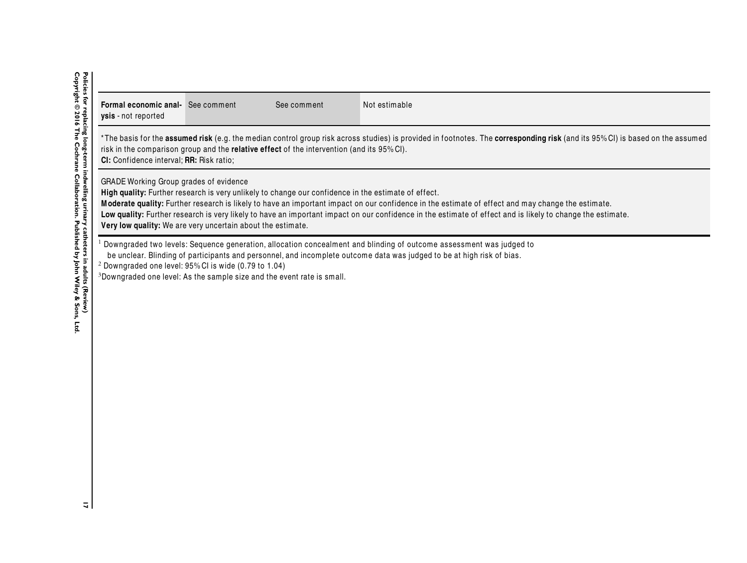| <b>Formal economic anal-</b> See comment<br>ysis - not reported                                                                                                                                                                                                                                                                                                                                                                                                                                                                        |  | See comment | Not estimable |  |  |  |  |
|----------------------------------------------------------------------------------------------------------------------------------------------------------------------------------------------------------------------------------------------------------------------------------------------------------------------------------------------------------------------------------------------------------------------------------------------------------------------------------------------------------------------------------------|--|-------------|---------------|--|--|--|--|
| *The basis for the <b>assumed risk</b> (e.g. the median control group risk across studies) is provided in footnotes. The <b>corresponding risk</b> (and its 95%CI) is based on the assumed<br>risk in the comparison group and the <b>relative effect</b> of the intervention (and its 95% CI).<br><b>CI:</b> Confidence interval; <b>RR:</b> Risk ratio;                                                                                                                                                                              |  |             |               |  |  |  |  |
| <b>GRADE Working Group grades of evidence</b><br>High quality: Further research is very unlikely to change our confidence in the estimate of effect.<br>Moderate quality: Further research is likely to have an important impact on our confidence in the estimate of effect and may change the estimate.<br>Low quality: Further research is very likely to have an important impact on our confidence in the estimate of effect and is likely to change the estimate.<br>Very low quality: We are very uncertain about the estimate. |  |             |               |  |  |  |  |
| Downgraded two levels: Sequence generation, allocation concealment and blinding of outcome assessment was judged to<br>be unclear. Blinding of participants and personnel, and incomplete outcome data was judged to be at high risk of bias.<br>$2$ Downgraded one level: 95% CI is wide (0.79 to 1.04)<br>$3$ Downgraded one level: As the sample size and the event rate is small.                                                                                                                                                  |  |             |               |  |  |  |  |

Policies for replacing long-term indwelling urinary catheters in adults (Review)<br>Copyright © 2016 The Cochrane Collaboration. Published by John Wiley & Sons, Ltd. **Copyright © 2016 The Cochrane Collaboration. Published by John Wiley & Sons, Ltd.17 Policies for replacing long-term indwelling urinary catheters in adults (Review)**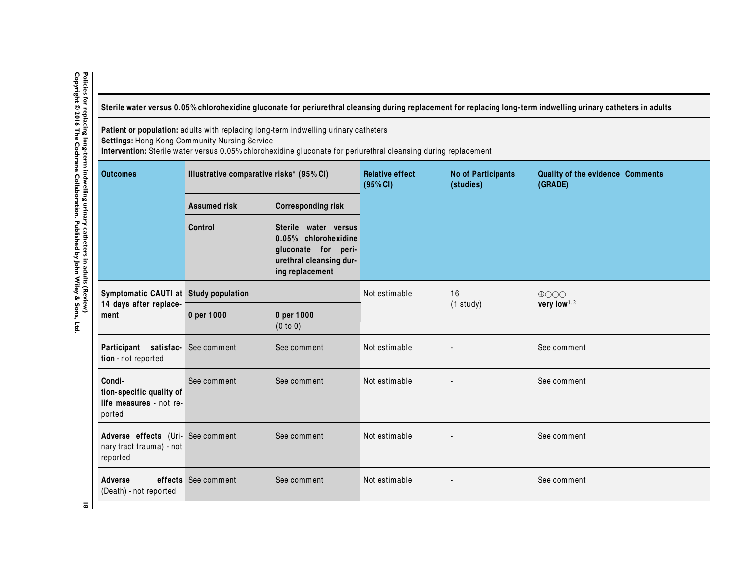Sterile water versus 0.05% chlorohexidine gluconate for periurethral cleansing during replacement for replacing long-term indwelling urinary catheters in adults

**Patient or population:** adults with replacing long-term indwelling urinary catheters

**Settings:** Hong Kong Community Nursing Service **Intervention:** Sterile water versus 0.05% chlorohexidine gluconate for periurethral cleansing during replacement

| <b>Outcomes</b>                                                           | Illustrative comparative risks* (95% CI) |                                                                                                                   | <b>Relative effect</b><br>(95% CI) | <b>No of Participants</b><br>(studies) | Quality of the evidence Comments<br>(GRADE) |
|---------------------------------------------------------------------------|------------------------------------------|-------------------------------------------------------------------------------------------------------------------|------------------------------------|----------------------------------------|---------------------------------------------|
|                                                                           | <b>Assumed risk</b>                      | <b>Corresponding risk</b>                                                                                         |                                    |                                        |                                             |
|                                                                           | <b>Control</b>                           | Sterile water versus<br>0.05% chlorohexidine<br>gluconate for peri-<br>urethral cleansing dur-<br>ing replacement |                                    |                                        |                                             |
| Symptomatic CAUTI at Study population                                     |                                          |                                                                                                                   | Not estimable                      | 16                                     | $\bigoplus$                                 |
| 14 days after replace-<br>ment                                            | 0 per 1000                               | 0 per 1000<br>(0 to 0)                                                                                            |                                    | $(1$ study)                            | very low $^{1,2}$                           |
| Participant satisfac- See comment<br>tion - not reported                  |                                          | See comment                                                                                                       | Not estimable                      |                                        | See comment                                 |
| Condi-<br>tion-specific quality of<br>life measures - not re-<br>ported   | See comment                              | See comment                                                                                                       | Not estimable                      |                                        | See comment                                 |
| Adverse effects (Uri- See comment<br>nary tract trauma) - not<br>reported |                                          | See comment                                                                                                       | Not estimable                      |                                        | See comment                                 |
| <b>Adverse</b><br>(Death) - not reported                                  | effects See comment                      | See comment                                                                                                       | Not estimable                      |                                        | See comment                                 |

<span id="page-19-0"></span>Policies for replacing long-term indwelling urinary catheters in adults (Review)<br>Copyright © 2016 The Cochrane Collaboration. Published by John Wiley & Sons, Ltd. **Copyright © 2016 The Cochrane Collaboration. Published by John Wiley & Sons, Ltd.18 Policies for replacing long-term indwelling urinary catheters in adults (Review)**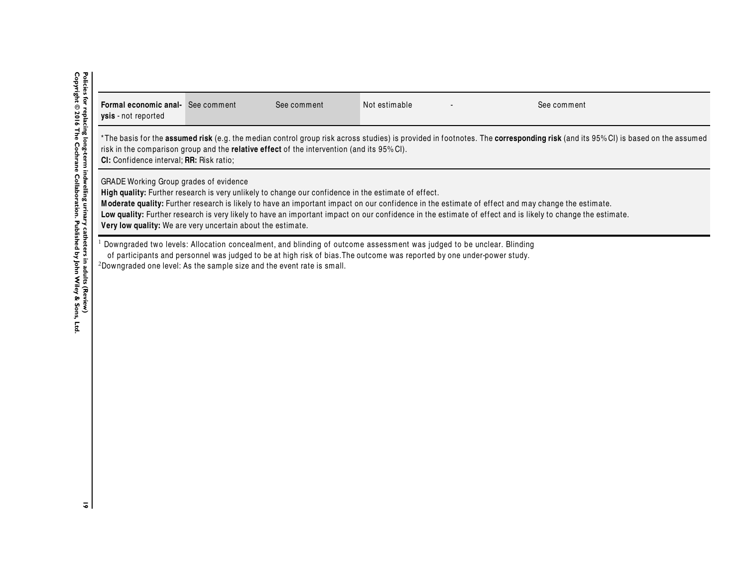| <b>Formal economic anal-</b> See comment<br><b>ysis</b> - not reported                                                                                                                                                                                                                                                                                                                                                                                                                                                                 |  | See comment | Not estimable |  | See comment |  |  |
|----------------------------------------------------------------------------------------------------------------------------------------------------------------------------------------------------------------------------------------------------------------------------------------------------------------------------------------------------------------------------------------------------------------------------------------------------------------------------------------------------------------------------------------|--|-------------|---------------|--|-------------|--|--|
| *The basis for the <b>assumed risk</b> (e.g. the median control group risk across studies) is provided in footnotes. The <b>corresponding risk</b> (and its 95%CI) is based on the assumed<br>risk in the comparison group and the relative effect of the intervention (and its 95% CI).<br>CI: Confidence interval; RR: Risk ratio;                                                                                                                                                                                                   |  |             |               |  |             |  |  |
| <b>GRADE Working Group grades of evidence</b><br>High quality: Further research is very unlikely to change our confidence in the estimate of effect.<br>Moderate quality: Further research is likely to have an important impact on our confidence in the estimate of effect and may change the estimate.<br>Low quality: Further research is very likely to have an important impact on our confidence in the estimate of effect and is likely to change the estimate.<br>Very low quality: We are very uncertain about the estimate. |  |             |               |  |             |  |  |
| Downgraded two levels: Allocation concealment, and blinding of outcome assessment was judged to be unclear. Blinding<br>of participants and personnel was judged to be at high risk of bias. The outcome was reported by one under-power study.<br><sup>2</sup> Downgraded one level: As the sample size and the event rate is small.                                                                                                                                                                                                  |  |             |               |  |             |  |  |

Policies for replacing long-term indwelling urinary catheters in adults (Review)<br>Copyright © 2016 The Cochrane Collaboration. Published by John Wiley & Sons, Ltd. **Copyright © 2016 The Cochrane Collaboration. Published by John Wiley & Sons, Ltd.19 Policies for replacing long-term indwelling urinary catheters in adults (Review)**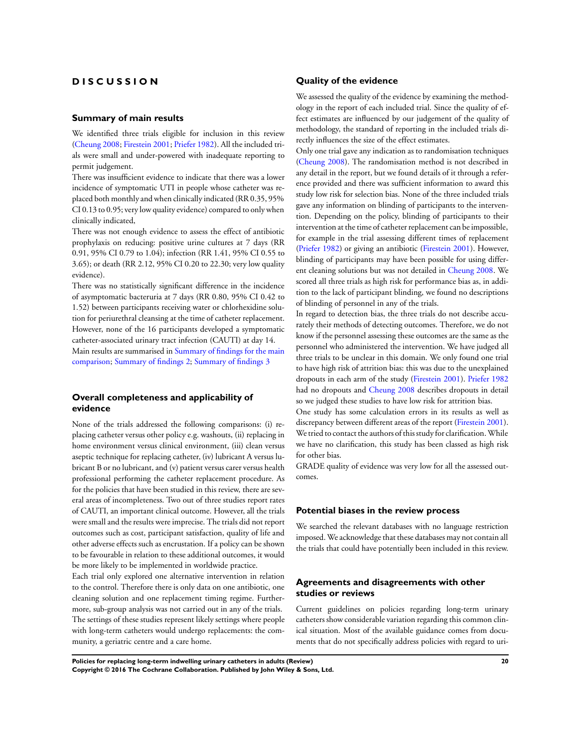# **D I S C U S S I O N**

#### **Summary of main results**

We identified three trials eligible for inclusion in this review [\(Cheung 2008;](#page-23-0) [Firestein 2001](#page-23-0); [Priefer 1982\)](#page-23-0). All the included trials were small and under-powered with inadequate reporting to permit judgement.

There was insufficient evidence to indicate that there was a lower incidence of symptomatic UTI in people whose catheter was replaced both monthly and when clinically indicated (RR 0.35, 95% CI 0.13 to 0.95; very low quality evidence) compared to only when clinically indicated,

There was not enough evidence to assess the effect of antibiotic prophylaxis on reducing: positive urine cultures at 7 days (RR 0.91, 95% CI 0.79 to 1.04); infection (RR 1.41, 95% CI 0.55 to 3.65); or death (RR 2.12, 95% CI 0.20 to 22.30; very low quality evidence).

There was no statistically significant difference in the incidence of asymptomatic bacteruria at 7 days (RR 0.80, 95% CI 0.42 to 1.52) between participants receiving water or chlorhexidine solution for periurethral cleansing at the time of catheter replacement. However, none of the 16 participants developed a symptomatic catheter-associated urinary tract infection (CAUTI) at day 14. Main results are summarised in [Summary of findings for the main](#page-5-0) [comparison;](#page-5-0) [Summary of findings 2](#page-17-0); [Summary of findings 3](#page-19-0)

# **Overall completeness and applicability of evidence**

None of the trials addressed the following comparisons: (i) replacing catheter versus other policy e.g. washouts, (ii) replacing in home environment versus clinical environment, (iii) clean versus aseptic technique for replacing catheter, (iv) lubricant A versus lubricant B or no lubricant, and (v) patient versus carer versus health professional performing the catheter replacement procedure. As for the policies that have been studied in this review, there are several areas of incompleteness. Two out of three studies report rates of CAUTI, an important clinical outcome. However, all the trials were small and the results were imprecise. The trials did not report outcomes such as cost, participant satisfaction, quality of life and other adverse effects such as encrustation. If a policy can be shown to be favourable in relation to these additional outcomes, it would be more likely to be implemented in worldwide practice.

Each trial only explored one alternative intervention in relation to the control. Therefore there is only data on one antibiotic, one cleaning solution and one replacement timing regime. Furthermore, sub-group analysis was not carried out in any of the trials. The settings of these studies represent likely settings where people with long-term catheters would undergo replacements: the community, a geriatric centre and a care home.

## **Quality of the evidence**

We assessed the quality of the evidence by examining the methodology in the report of each included trial. Since the quality of effect estimates are influenced by our judgement of the quality of methodology, the standard of reporting in the included trials directly influences the size of the effect estimates.

Only one trial gave any indication as to randomisation techniques [\(Cheung 2008\)](#page-23-0). The randomisation method is not described in any detail in the report, but we found details of it through a reference provided and there was sufficient information to award this study low risk for selection bias. None of the three included trials gave any information on blinding of participants to the intervention. Depending on the policy, blinding of participants to their intervention at the time of catheter replacement can be impossible, for example in the trial assessing different times of replacement [\(Priefer 1982](#page-23-0)) or giving an antibiotic ([Firestein 2001\)](#page-23-0). However, blinding of participants may have been possible for using different cleaning solutions but was not detailed in [Cheung 2008](#page-23-0). We scored all three trials as high risk for performance bias as, in addition to the lack of participant blinding, we found no descriptions of blinding of personnel in any of the trials.

In regard to detection bias, the three trials do not describe accurately their methods of detecting outcomes. Therefore, we do not know if the personnel assessing these outcomes are the same as the personnel who administered the intervention. We have judged all three trials to be unclear in this domain. We only found one trial to have high risk of attrition bias: this was due to the unexplained dropouts in each arm of the study [\(Firestein 2001](#page-23-0)). [Priefer 1982](#page-23-0) had no dropouts and [Cheung 2008](#page-23-0) describes dropouts in detail so we judged these studies to have low risk for attrition bias.

One study has some calculation errors in its results as well as discrepancy between different areas of the report ([Firestein 2001](#page-23-0)). We tried to contact the authors of this study for clarification.While we have no clarification, this study has been classed as high risk for other bias.

GRADE quality of evidence was very low for all the assessed outcomes.

# **Potential biases in the review process**

We searched the relevant databases with no language restriction imposed. We acknowledge that these databases may not contain all the trials that could have potentially been included in this review.

# **Agreements and disagreements with other studies or reviews**

Current guidelines on policies regarding long-term urinary catheters show considerable variation regarding this common clinical situation. Most of the available guidance comes from documents that do not specifically address policies with regard to uri-

**Policies for replacing long-term indwelling urinary catheters in adults (Review) 20 Copyright © 2016 The Cochrane Collaboration. Published by John Wiley & Sons, Ltd.**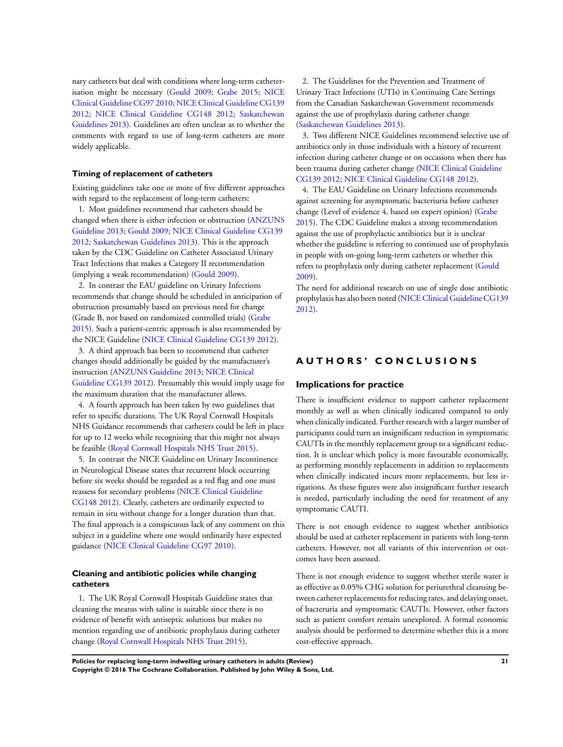nary catheters but deal with conditions where long-term catheterisation might be necessary [\(Gould 2009;](#page-23-0) [Grabe 2015](#page-23-0); [NICE](#page-23-0) [Clinical Guideline CG97 2010;](#page-23-0) [NICE Clinical Guideline CG139](#page-23-0) [2012](#page-23-0); [NICE Clinical Guideline CG148 2012;](#page-23-0) [Saskatchewan](#page-23-0) [Guidelines 2013\)](#page-23-0). Guidelines are often unclear as to whether the comments with regard to use of long-term catheters are more widely applicable.

# **Timing of replacement of catheters**

Existing guidelines take one or more of five different approaches with regard to the replacement of long-term catheters:

1. Most guidelines recommend that catheters should be changed when there is either infection or obstruction ([ANZUNS](#page-23-0) [Guideline 2013;](#page-23-0) [Gould 2009](#page-23-0); [NICE Clinical Guideline CG139](#page-23-0) [2012](#page-23-0); [Saskatchewan Guidelines 2013](#page-23-0)). This is the approach taken by the CDC Guideline on Catheter Associated Urinary Tract Infections that makes a Category II recommendation (implying a weak recommendation) [\(Gould 2009](#page-23-0)).

2. In contrast the EAU guideline on Urinary Infections recommends that change should be scheduled in anticipation of obstruction presumably based on previous need for change (Grade B, not based on randomized controlled trials) [\(Grabe](#page-23-0) [2015](#page-23-0)). Such a patient-centric approach is also recommended by the NICE Guideline ([NICE Clinical Guideline CG139 2012\)](#page-23-0).

3. A third approach has been to recommend that catheter changes should additionally be guided by the manufacturer's instruction ([ANZUNS Guideline 2013](#page-23-0); [NICE Clinical](#page-23-0) [Guideline CG139 2012\)](#page-23-0). Presumably this would imply usage for the maximum duration that the manufacturer allows.

4. A fourth approach has been taken by two guidelines that refer to specific durations. The UK Royal Cornwall Hospitals NHS Guidance recommends that catheters could be left in place for up to 12 weeks while recognising that this might not always be feasible ([Royal Cornwall Hospitals NHS Trust 2015\)](#page-23-0).

5. In contrast the NICE Guideline on Urinary Incontinence in Neurological Disease states that recurrent block occurring before six weeks should be regarded as a red flag and one must reassess for secondary problems ([NICE Clinical Guideline](#page-23-0) [CG148 2012\)](#page-23-0). Clearly, catheters are ordinarily expected to remain in situ without change for a longer duration than that. The final approach is a conspicuous lack of any comment on this subject in a guideline where one would ordinarily have expected guidance [\(NICE Clinical Guideline CG97 2010\)](#page-23-0).

# **Cleaning and antibiotic policies while changing catheters**

1. The UK Royal Cornwall Hospitals Guideline states that cleaning the meatus with saline is suitable since there is no evidence of benefit with antiseptic solutions but makes no mention regarding use of antibiotic prophylaxis during catheter change [\(Royal Cornwall Hospitals NHS Trust 2015](#page-23-0)).

2. The Guidelines for the Prevention and Treatment of Urinary Tract Infections (UTIs) in Continuing Care Settings from the Canadian Saskatchewan Government recommends against the use of prophylaxis during catheter change [\(Saskatchewan Guidelines 2013\)](#page-23-0).

3. Two different NICE Guidelines recommend selective use of antibiotics only in those individuals with a history of recurrent infection during catheter change or on occasions when there has been trauma during catheter change [\(NICE Clinical Guideline](#page-23-0) [CG139 2012;](#page-23-0) [NICE Clinical Guideline CG148 2012](#page-23-0)).

4. The EAU Guideline on Urinary Infections recommends against screening for asymptomatic bacteriuria before catheter change (Level of evidence 4, based on expert opinion) [\(Grabe](#page-23-0) [2015](#page-23-0)). The CDC Guideline makes a strong recommendation against the use of prophylactic antibiotics but it is unclear whether the guideline is referring to continued use of prophylaxis in people with on-going long-term catheters or whether this refers to prophylaxis only during catheter replacement ([Gould](#page-23-0) [2009](#page-23-0)).

The need for additional research on use of single dose antibiotic prophylaxis has also been noted ([NICE Clinical Guideline CG139](#page-23-0) [2012](#page-23-0)).

# **A U T H O R S ' C O N C L U S I O N S**

#### **Implications for practice**

There is insufficient evidence to support catheter replacement monthly as well as when clinically indicated compared to only when clinically indicated. Further research with a larger number of participants could turn an insignificant reduction in symptomatic CAUTIs in the monthly replacement group to a significant reduction. It is unclear which policy is more favourable economically, as performing monthly replacements in addition to replacements when clinically indicated incurs more replacements, but less irrigations. As these figures were also insignificant further research is needed, particularly including the need for treatment of any symptomatic CAUTI.

There is not enough evidence to suggest whether antibiotics should be used at catheter replacement in patients with long-term catheters. However, not all variants of this intervention or outcomes have been assessed.

There is not enough evidence to suggest whether sterile water is as effective as 0.05% CHG solution for periurethral cleansing between catheter replacements for reducing rates, and delaying onset, of bacteruria and symptomatic CAUTIs. However, other factors such as patient comfort remain unexplored. A formal economic analysis should be performed to determine whether this is a more cost-effective approach.

**Policies for replacing long-term indwelling urinary catheters in adults (Review) 21 Copyright © 2016 The Cochrane Collaboration. Published by John Wiley & Sons, Ltd.**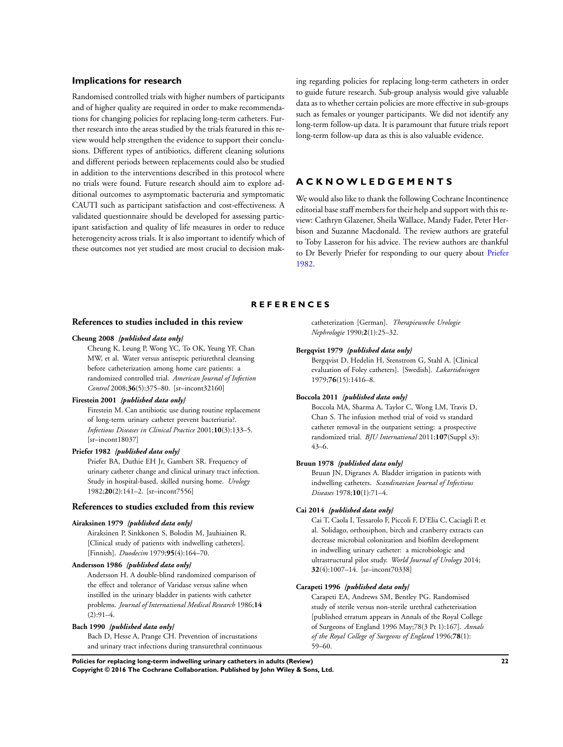### <span id="page-23-0"></span>**Implications for research**

Randomised controlled trials with higher numbers of participants and of higher quality are required in order to make recommendations for changing policies for replacing long-term catheters. Further research into the areas studied by the trials featured in this review would help strengthen the evidence to support their conclusions. Different types of antibiotics, different cleaning solutions and different periods between replacements could also be studied in addition to the interventions described in this protocol where no trials were found. Future research should aim to explore additional outcomes to asymptomatic bacteruria and symptomatic CAUTI such as participant satisfaction and cost-effectiveness. A validated questionnaire should be developed for assessing participant satisfaction and quality of life measures in order to reduce heterogeneity across trials. It is also important to identify which of these outcomes not yet studied are most crucial to decision mak-

ing regarding policies for replacing long-term catheters in order to guide future research. Sub-group analysis would give valuable data as to whether certain policies are more effective in sub-groups such as females or younger participants. We did not identify any long-term follow-up data. It is paramount that future trials report long-term follow-up data as this is also valuable evidence.

# **A C K N O W L E D G E M E N T S**

We would also like to thank the following Cochrane Incontinence editorial base staff members for their help and support with this review: Cathryn Glazener, Sheila Wallace, Mandy Fader, Peter Herbison and Suzanne Macdonald. The review authors are grateful to Toby Lasseron for his advice. The review authors are thankful to Dr Beverly Priefer for responding to our query about Priefer 1982.

#### **R E F E R E N C E S**

#### **References to studies included in this review**

#### **Cheung 2008** *{published data only}*

Cheung K, Leung P, Wong YC, To OK, Yeung YF, Chan MW, et al. Water versus antiseptic periurethral cleansing before catheterization among home care patients: a randomized controlled trial. *American Journal of Infection Control* 2008;**36**(5):375–80. [sr–incont32160]

#### **Firestein 2001** *{published data only}*

Firestein M. Can antibiotic use during routine replacement of long-term urinary catheter prevent bacteriuria?. *Infectious Diseases in Clinical Practice* 2001;**10**(3):133–5. [sr–incont18037]

#### **Priefer 1982** *{published data only}*

Priefer BA, Duthie EH Jr, Gambert SR. Frequency of urinary catheter change and clinical urinary tract infection. Study in hospital-based, skilled nursing home. *Urology* 1982;**20**(2):141–2. [sr–incont7556]

#### **References to studies excluded from this review**

# **Airaksinen 1979** *{published data only}*

Airaksinen P, Sinkkonen S, Bolodin M, Jauhiainen R. [Clinical study of patients with indwelling catheters]. [Finnish]. *Duodecim* 1979;**95**(4):164–70.

#### **Andersson 1986** *{published data only}*

Andersson H. A double-blind randomized comparison of the effect and tolerance of Varidase versus saline when instilled in the urinary bladder in patients with catheter problems. *Journal of International Medical Research* 1986;**14**  $(2):91-4.$ 

# **Bach 1990** *{published data only}*

Bach D, Hesse A, Prange CH. Prevention of incrustations and urinary tract infections during transurethral continuous catheterization [German]. *Therapiewoche Urologie Nephrologie* 1990;**2**(1):25–32.

#### **Bergqvist 1979** *{published data only}*

Bergqvist D, Hedelin H, Stenstrom G, Stahl A. [Clinical evaluation of Foley catheters]. [Swedish]. *Lakartidningen* 1979;**76**(15):1416–8.

#### **Boccola 2011** *{published data only}*

Boccola MA, Sharma A, Taylor C, Wong LM, Travis D, Chan S. The infusion method trial of void vs standard catheter removal in the outpatient setting: a prospective randomized trial. *BJU International* 2011;**107**(Suppl s3): 43–6.

#### **Bruun 1978** *{published data only}*

Bruun JN, Digranes A. Bladder irrigation in patients with indwelling catheters. *Scandinavian Journal of Infectious Diseases* 1978;**10**(1):71–4.

#### **Cai 2014** *{published data only}*

Cai T, Caola I, Tessarolo F, Piccoli F, D'Elia C, Caciagli P, et al. Solidago, orthosiphon, birch and cranberry extracts can decrease microbial colonization and biofilm development in indwelling urinary catheter: a microbiologic and ultrastructural pilot study. *World Journal of Urology* 2014; **32**(4):1007–14. [sr–incont70338]

#### **Carapeti 1996** *{published data only}*

Carapeti EA, Andrews SM, Bentley PG. Randomised study of sterile versus non-sterile urethral catheterisation [published erratum appears in Annals of the Royal College of Surgeons of England 1996 May;78(3 Pt 1):167]. *Annals of the Royal College of Surgeons of England* 1996;**78**(1): 59–60.

**Policies for replacing long-term indwelling urinary catheters in adults (Review) 22 Copyright © 2016 The Cochrane Collaboration. Published by John Wiley & Sons, Ltd.**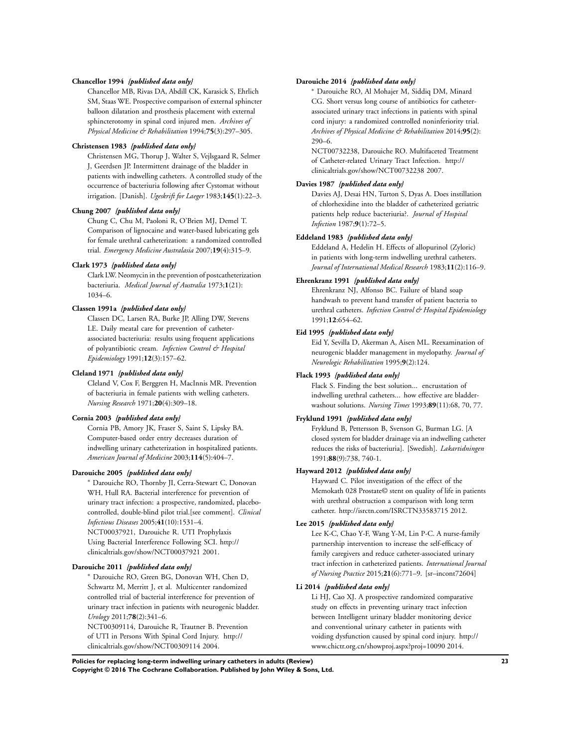#### **Chancellor 1994** *{published data only}*

Chancellor MB, Rivas DA, Abdill CK, Karasick S, Ehrlich SM, Staas WE. Prospective comparison of external sphincter balloon dilatation and prosthesis placement with external sphincterotomy in spinal cord injured men. *Archives of Physical Medicine & Rehabilitation* 1994;**75**(3):297–305.

#### **Christensen 1983** *{published data only}*

Christensen MG, Thorup J, Walter S, Vejlsgaard R, Selmer J, Geerdsen JP. Intermittent drainage of the bladder in patients with indwelling catheters. A controlled study of the occurrence of bacteriuria following after Cystomat without irrigation. [Danish]. *Ugeskrift for Laeger* 1983;**145**(1):22–3.

## **Chung 2007** *{published data only}*

Chung C, Chu M, Paoloni R, O'Brien MJ, Demel T. Comparison of lignocaine and water-based lubricating gels for female urethral catheterization: a randomized controlled trial. *Emergency Medicine Australasia* 2007;**19**(4):315–9.

#### **Clark 1973** *{published data only}*

Clark LW. Neomycin in the prevention of postcatheterization bacteriuria. *Medical Journal of Australia* 1973;**1**(21): 1034–6.

## **Classen 1991a** *{published data only}*

Classen DC, Larsen RA, Burke JP, Alling DW, Stevens LE. Daily meatal care for prevention of catheterassociated bacteriuria: results using frequent applications of polyantibiotic cream. *Infection Control & Hospital Epidemiology* 1991;**12**(3):157–62.

## **Cleland 1971** *{published data only}*

Cleland V, Cox F, Berggren H, MacInnis MR. Prevention of bacteriuria in female patients with welling catheters. *Nursing Research* 1971;**20**(4):309–18.

#### **Cornia 2003** *{published data only}*

Cornia PB, Amory JK, Fraser S, Saint S, Lipsky BA. Computer-based order entry decreases duration of indwelling urinary catheterization in hospitalized patients. *American Journal of Medicine* 2003;**114**(5):404–7.

#### **Darouiche 2005** *{published data only}*

<sup>∗</sup> Darouiche RO, Thornby JI, Cerra-Stewart C, Donovan WH, Hull RA. Bacterial interference for prevention of urinary tract infection: a prospective, randomized, placebocontrolled, double-blind pilot trial.[see comment]. *Clinical Infectious Diseases* 2005;**41**(10):1531–4. NCT00037921, Darouiche R. UTI Prophylaxis Using Bacterial Interference Following SCI. http:// clinicaltrials.gov/show/NCT00037921 2001.

#### **Darouiche 2011** *{published data only}*

<sup>∗</sup> Darouiche RO, Green BG, Donovan WH, Chen D, Schwartz M, Merritt J, et al. Multicenter randomized controlled trial of bacterial interference for prevention of urinary tract infection in patients with neurogenic bladder. *Urology* 2011;**78**(2):341–6.

NCT00309114, Darouiche R, Trautner B. Prevention of UTI in Persons With Spinal Cord Injury. http:// clinicaltrials.gov/show/NCT00309114 2004.

#### **Darouiche 2014** *{published data only}*

<sup>∗</sup> Darouiche RO, Al Mohajer M, Siddiq DM, Minard CG. Short versus long course of antibiotics for catheterassociated urinary tract infections in patients with spinal cord injury: a randomized controlled noninferiority trial. *Archives of Physical Medicine & Rehabilitation* 2014;**95**(2): 290–6.

NCT00732238, Darouiche RO. Multifaceted Treatment of Catheter-related Urinary Tract Infection. http:// clinicaltrials.gov/show/NCT00732238 2007.

# **Davies 1987** *{published data only}*

Davies AJ, Desai HN, Turton S, Dyas A. Does instillation of chlorhexidine into the bladder of catheterized geriatric patients help reduce bacteriuria?. *Journal of Hospital Infection* 1987;**9**(1):72–5.

#### **Eddeland 1983** *{published data only}*

Eddeland A, Hedelin H. Effects of allopurinol (Zyloric) in patients with long-term indwelling urethral catheters. *Journal of International Medical Research* 1983;**11**(2):116–9.

#### **Ehrenkranz 1991** *{published data only}*

Ehrenkranz NJ, Alfonso BC. Failure of bland soap handwash to prevent hand transfer of patient bacteria to urethral catheters. *Infection Control & Hospital Epidemiology* 1991;**12**:654–62.

#### **Eid 1995** *{published data only}*

Eid Y, Sevilla D, Akerman A, Aisen ML. Reexamination of neurogenic bladder management in myelopathy. *Journal of Neurologic Rehabilitation* 1995;**9**(2):124.

#### **Flack 1993** *{published data only}*

Flack S. Finding the best solution... encrustation of indwelling urethral catheters... how effective are bladderwashout solutions. *Nursing Times* 1993;**89**(11):68, 70, 77.

#### **Fryklund 1991** *{published data only}*

Fryklund B, Pettersson B, Svenson G, Burman LG. [A closed system for bladder drainage via an indwelling catheter reduces the risks of bacteriuria]. [Swedish]. *Lakartidningen* 1991;**88**(9):738, 740-1.

#### **Hayward 2012** *{published data only}*

Hayward C. Pilot investigation of the effect of the Memokath 028 Prostate© stent on quality of life in patients with urethral obstruction a comparison with long term catheter. http://isrctn.com/ISRCTN33583715 2012.

#### **Lee 2015** *{published data only}*

Lee K-C, Chao Y-F, Wang Y-M, Lin P-C. A nurse-family partnership intervention to increase the self-efficacy of family caregivers and reduce catheter-associated urinary tract infection in catheterized patients. *International Journal of Nursing Practice* 2015;**21**(6):771–9. [sr–incont72604]

#### **Li 2014** *{published data only}*

Li HJ, Cao XJ. A prospective randomized comparative study on effects in preventing urinary tract infection between Intelligent urinary bladder monitoring device and conventional urinary catheter in patients with voiding dysfunction caused by spinal cord injury. http:// www.chictr.org.cn/showproj.aspx?proj=10090 2014.

**Policies for replacing long-term indwelling urinary catheters in adults (Review) 23 Copyright © 2016 The Cochrane Collaboration. Published by John Wiley & Sons, Ltd.**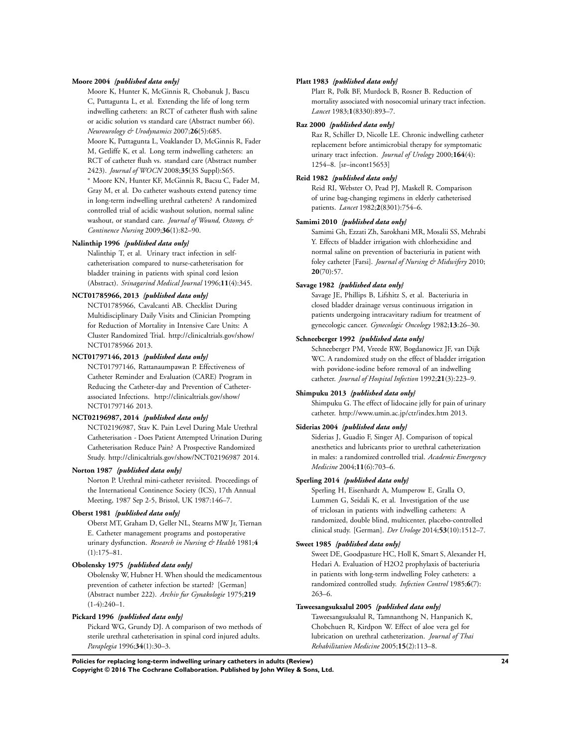#### **Moore 2004** *{published data only}*

Moore K, Hunter K, McGinnis R, Chobanuk J, Bascu C, Puttagunta L, et al. Extending the life of long term indwelling catheters: an RCT of catheter flush with saline or acidic solution vs standard care (Abstract number 66). *Neurourology & Urodynamics* 2007;**26**(5):685.

Moore K, Puttagunta L, Voaklander D, McGinnis R, Fader M, Getliffe K, et al. Long term indwelling catheters: an RCT of catheter flush vs. standard care (Abstract number 2423). *Journal of WOCN* 2008;**35**(3S Suppl):S65.

<sup>∗</sup> Moore KN, Hunter KF, McGinnis R, Bacsu C, Fader M, Gray M, et al. Do catheter washouts extend patency time in long-term indwelling urethral catheters? A randomized controlled trial of acidic washout solution, normal saline washout, or standard care. *Journal of Wound, Ostomy, & Continence Nursing* 2009;**36**(1):82–90.

#### **Nalinthip 1996** *{published data only}*

Nalinthip T, et al. Urinary tract infection in selfcatheterisation compared to nurse-catheterisation for bladder training in patients with spinal cord lesion (Abstract). *Srinagarind Medical Journal* 1996;**11**(4):345.

#### **NCT01785966, 2013** *{published data only}*

NCT01785966, Cavalcanti AB. Checklist During Multidisciplinary Daily Visits and Clinician Prompting for Reduction of Mortality in Intensive Care Units: A Cluster Randomized Trial. http://clinicaltrials.gov/show/ NCT01785966 2013.

#### **NCT01797146, 2013** *{published data only}*

NCT01797146, Rattanaumpawan P. Effectiveness of Catheter Reminder and Evaluation (CARE) Program in Reducing the Catheter-day and Prevention of Catheterassociated Infections. http://clinicaltrials.gov/show/ NCT01797146 2013.

#### **NCT02196987, 2014** *{published data only}*

NCT02196987, Stav K. Pain Level During Male Urethral Catheterisation - Does Patient Attempted Urination During Catheterisation Reduce Pain? A Prospective Randomized Study. http://clinicaltrials.gov/show/NCT02196987 2014.

#### **Norton 1987** *{published data only}*

Norton P. Urethral mini-catheter revisited. Proceedings of the International Continence Society (ICS), 17th Annual Meeting, 1987 Sep 2-5, Bristol, UK 1987:146–7.

#### **Oberst 1981** *{published data only}*

Oberst MT, Graham D, Geller NL, Stearns MW Jr, Tiernan E. Catheter management programs and postoperative urinary dysfunction. *Research in Nursing & Health* 1981;**4** (1):175–81.

#### **Obolensky 1975** *{published data only}*

Obolensky W, Hubner H. When should the medicamentous prevention of catheter infection be started? [German] (Abstract number 222). *Archiv fur Gynakologie* 1975;**219**  $(1-4):240-1.$ 

#### **Pickard 1996** *{published data only}*

Pickard WG, Grundy DJ. A comparison of two methods of sterile urethral catheterisation in spinal cord injured adults. *Paraplegia* 1996;**34**(1):30–3.

#### **Platt 1983** *{published data only}*

Platt R, Polk BF, Murdock B, Rosner B. Reduction of mortality associated with nosocomial urinary tract infection. *Lancet* 1983;**1**(8330):893–7.

#### **Raz 2000** *{published data only}*

Raz R, Schiller D, Nicolle LE. Chronic indwelling catheter replacement before antimicrobial therapy for symptomatic urinary tract infection. *Journal of Urology* 2000;**164**(4): 1254–8. [sr–incont15653]

## **Reid 1982** *{published data only}*

Reid RI, Webster O, Pead PJ, Maskell R. Comparison of urine bag-changing regimens in elderly catheterised patients. *Lancet* 1982;**2**(8301):754–6.

#### **Samimi 2010** *{published data only}*

Samimi Gh, Ezzati Zh, Sarokhani MR, Mosalii SS, Mehrabi Y. Effects of bladder irrigation with chlorhexidine and normal saline on prevention of bacteriuria in patient with foley catheter [Farsi]. *Journal of Nursing & Midwifery* 2010; **20**(70):57.

### **Savage 1982** *{published data only}*

Savage JE, Phillips B, Lifshitz S, et al. Bacteriuria in closed bladder drainage versus continuous irrigation in patients undergoing intracavitary radium for treatment of gynecologic cancer. *Gynecologic Oncology* 1982;**13**:26–30.

# **Schneeberger 1992** *{published data only}*

Schneeberger PM, Vreede RW, Bogdanowicz JF, van Dijk WC. A randomized study on the effect of bladder irrigation with povidone-iodine before removal of an indwelling catheter. *Journal of Hospital Infection* 1992;**21**(3):223–9.

#### **Shimpuku 2013** *{published data only}*

Shimpuku G. The effect of lidocaine jelly for pain of urinary catheter. http://www.umin.ac.jp/ctr/index.htm 2013.

#### **Siderias 2004** *{published data only}*

Siderias J, Guadio F, Singer AJ. Comparison of topical anesthetics and lubricants prior to urethral catheterization in males: a randomized controlled trial. *Academic Emergency Medicine* 2004;**11**(6):703–6.

#### **Sperling 2014** *{published data only}*

Sperling H, Eisenhardt A, Mumperow E, Gralla O, Lummen G, Seidali K, et al. Investigation of the use of triclosan in patients with indwelling catheters: A randomized, double blind, multicenter, placebo-controlled clinical study. [German]. *Der Urologe* 2014;**53**(10):1512–7.

#### **Sweet 1985** *{published data only}*

Sweet DE, Goodpasture HC, Holl K, Smart S, Alexander H, Hedari A. Evaluation of H2O2 prophylaxis of bacteriuria in patients with long-term indwelling Foley catheters: a randomized controlled study. *Infection Control* 1985;**6**(7): 263–6.

#### **Taweesangsuksalul 2005** *{published data only}*

Taweesangsuksalul R, Tamnanthong N, Hanpanich K, Chobchuen R, Kirdpon W. Effect of aloe vera gel for lubrication on urethral catheterization. *Journal of Thai Rehabilitation Medicine* 2005;**15**(2):113–8.

**Policies for replacing long-term indwelling urinary catheters in adults (Review) 24 Copyright © 2016 The Cochrane Collaboration. Published by John Wiley & Sons, Ltd.**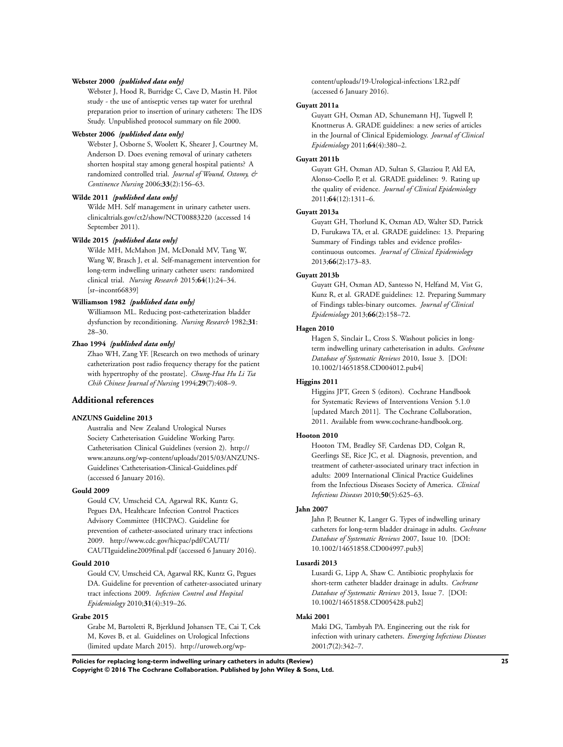#### **Webster 2000** *{published data only}*

Webster J, Hood R, Burridge C, Cave D, Mastin H. Pilot study - the use of antiseptic verses tap water for urethral preparation prior to insertion of urinary catheters: The IDS Study. Unpublished protocol summary on file 2000.

# **Webster 2006** *{published data only}*

Webster J, Osborne S, Woolett K, Shearer J, Courtney M, Anderson D. Does evening removal of urinary catheters shorten hospital stay among general hospital patients? A randomized controlled trial. *Journal of Wound, Ostomy, & Continence Nursing* 2006;**33**(2):156–63.

#### **Wilde 2011** *{published data only}*

Wilde MH. Self management in urinary catheter users. clinicaltrials.gov/ct2/show/NCT00883220 (accessed 14 September 2011).

#### **Wilde 2015** *{published data only}*

Wilde MH, McMahon JM, McDonald MV, Tang W, Wang W, Brasch J, et al. Self-management intervention for long-term indwelling urinary catheter users: randomized clinical trial. *Nursing Research* 2015;**64**(1):24–34. [sr–incont66839]

#### **Williamson 1982** *{published data only}*

Williamson ML. Reducing post-catheterization bladder dysfunction by reconditioning. *Nursing Research* 1982;**31**: 28–30.

#### **Zhao 1994** *{published data only}*

Zhao WH, Zang YF. [Research on two methods of urinary catheterization post radio frequency therapy for the patient with hypertrophy of the prostate]. *Chung-Hua Hu Li Tsa Chih Chinese Journal of Nursing* 1994;**29**(7):408–9.

# **Additional references**

### **ANZUNS Guideline 2013**

Australia and New Zealand Urological Nurses Society Catheterisation Guideline Working Party. Catheterisation Clinical Guidelines (version 2). http:// www.anzuns.org/wp-content/uploads/2015/03/ANZUNS-Guidelines˙Catheterisation-Clinical-Guidelines.pdf (accessed 6 January 2016).

#### **Gould 2009**

Gould CV, Umscheid CA, Agarwal RK, Kuntz G, Pegues DA, Healthcare Infection Control Practices Advisory Committee (HICPAC). Guideline for prevention of catheter-associated urinary tract infections 2009. http://www.cdc.gov/hicpac/pdf/CAUTI/ CAUTIguideline2009final.pdf (accessed 6 January 2016).

#### **Gould 2010**

Gould CV, Umscheid CA, Agarwal RK, Kuntz G, Pegues DA. Guideline for prevention of catheter-associated urinary tract infections 2009. *Infection Control and Hospital Epidemiology* 2010;**31**(4):319–26.

# **Grabe 2015**

Grabe M, Bartoletti R, Bjerklund Johansen TE, Cai T, Cek M, Koves B, et al. Guidelines on Urological Infections (limited update March 2015). http://uroweb.org/wpcontent/uploads/19-Urological-infections˙LR2.pdf (accessed 6 January 2016).

#### **Guyatt 2011a**

Guyatt GH, Oxman AD, Schunemann HJ, Tugwell P, Knottnerus A. GRADE guidelines: a new series of articles in the Journal of Clinical Epidemiology. *Journal of Clinical Epidemiology* 2011;**64**(4):380–2.

#### **Guyatt 2011b**

Guyatt GH, Oxman AD, Sultan S, Glasziou P, Akl EA, Alonso-Coello P, et al. GRADE guidelines: 9. Rating up the quality of evidence. *Journal of Clinical Epidemiology* 2011;**64**(12):1311–6.

#### **Guyatt 2013a**

Guyatt GH, Thorlund K, Oxman AD, Walter SD, Patrick D, Furukawa TA, et al. GRADE guidelines: 13. Preparing Summary of Findings tables and evidence profilescontinuous outcomes. *Journal of Clinical Epidemiology* 2013;**66**(2):173–83.

### **Guyatt 2013b**

Guyatt GH, Oxman AD, Santesso N, Helfand M, Vist G, Kunz R, et al. GRADE guidelines: 12. Preparing Summary of Findings tables-binary outcomes. *Journal of Clinical Epidemiology* 2013;**66**(2):158–72.

# **Hagen 2010**

Hagen S, Sinclair L, Cross S. Washout policies in longterm indwelling urinary catheterisation in adults. *Cochrane Database of Systematic Reviews* 2010, Issue 3. [DOI: 10.1002/14651858.CD004012.pub4]

#### **Higgins 2011**

Higgins JPT, Green S (editors). Cochrane Handbook for Systematic Reviews of Interventions Version 5.1.0 [updated March 2011]. The Cochrane Collaboration, 2011. Available from www.cochrane-handbook.org.

#### **Hooton 2010**

Hooton TM, Bradley SF, Cardenas DD, Colgan R, Geerlings SE, Rice JC, et al. Diagnosis, prevention, and treatment of catheter-associated urinary tract infection in adults: 2009 International Clinical Practice Guidelines from the Infectious Diseases Society of America. *Clinical Infectious Diseases* 2010;**50**(5):625–63.

#### **Jahn 2007**

Jahn P, Beutner K, Langer G. Types of indwelling urinary catheters for long-term bladder drainage in adults. *Cochrane Database of Systematic Reviews* 2007, Issue 10. [DOI: 10.1002/14651858.CD004997.pub3]

#### **Lusardi 2013**

Lusardi G, Lipp A, Shaw C. Antibiotic prophylaxis for short-term catheter bladder drainage in adults. *Cochrane Database of Systematic Reviews* 2013, Issue 7. [DOI: 10.1002/14651858.CD005428.pub2]

# **Maki 2001**

Maki DG, Tambyah PA. Engineering out the risk for infection with urinary catheters. *Emerging Infectious Diseases* 2001;**7**(2):342–7.

**Policies for replacing long-term indwelling urinary catheters in adults (Review) 25 Copyright © 2016 The Cochrane Collaboration. Published by John Wiley & Sons, Ltd.**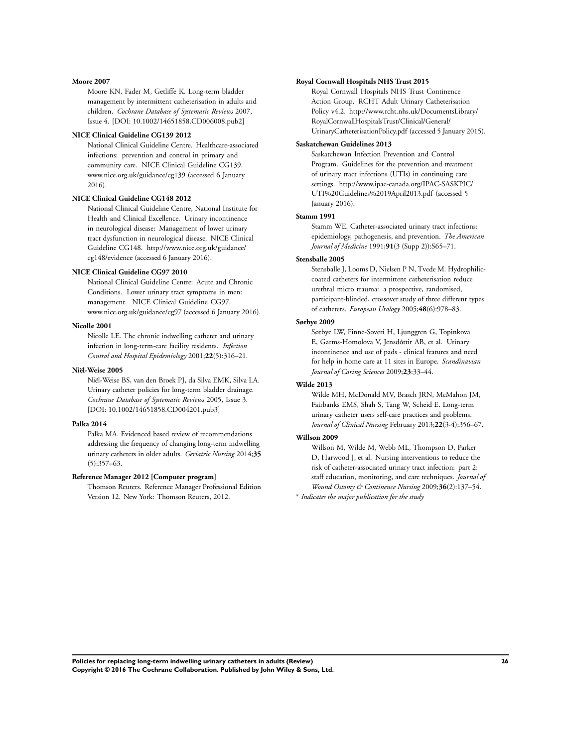#### **Moore 2007**

Moore KN, Fader M, Getliffe K. Long-term bladder management by intermittent catheterisation in adults and children. *Cochrane Database of Systematic Reviews* 2007, Issue 4. [DOI: 10.1002/14651858.CD006008.pub2]

#### **NICE Clinical Guideline CG139 2012**

National Clinical Guideline Centre. Healthcare-associated infections: prevention and control in primary and community care. NICE Clinical Guideline CG139. www.nice.org.uk/guidance/cg139 (accessed 6 January 2016).

#### **NICE Clinical Guideline CG148 2012**

National Clinical Guideline Centre, National Institute for Health and Clinical Excellence. Urinary incontinence in neurological disease: Management of lower urinary tract dysfunction in neurological disease. NICE Clinical Guideline CG148. http://www.nice.org.uk/guidance/ cg148/evidence (accessed 6 January 2016).

## **NICE Clinical Guideline CG97 2010**

National Clinical Guideline Centre: Acute and Chronic Conditions. Lower urinary tract symptoms in men: management. NICE Clinical Guideline CG97. www.nice.org.uk/guidance/cg97 (accessed 6 January 2016).

#### **Nicolle 2001**

Nicolle LE. The chronic indwelling catheter and urinary infection in long-term-care facility residents. *Infection Control and Hospital Epidemiology* 2001;**22**(5):316–21.

#### **Niël-Weise 2005**

Niël-Weise BS, van den Broek PJ, da Silva EMK, Silva LA. Urinary catheter policies for long-term bladder drainage. *Cochrane Database of Systematic Reviews* 2005, Issue 3. [DOI: 10.1002/14651858.CD004201.pub3]

#### **Palka 2014**

Palka MA. Evidenced based review of recommendations addressing the frequency of changing long-term indwelling urinary catheters in older adults. *Geriatric Nursing* 2014;**35** (5):357–63.

#### **Reference Manager 2012 [Computer program]**

Thomson Reuters. Reference Manager Professional Edition Version 12. New York: Thomson Reuters, 2012.

#### **Royal Cornwall Hospitals NHS Trust 2015**

Royal Cornwall Hospitals NHS Trust Continence Action Group. RCHT Adult Urinary Catheterisation Policy v4.2. http://www.rcht.nhs.uk/DocumentsLibrary/ RoyalCornwallHospitalsTrust/Clinical/General/ UrinaryCatheterisationPolicy.pdf (accessed 5 January 2015).

#### **Saskatchewan Guidelines 2013**

Saskatchewan Infection Prevention and Control Program. Guidelines for the prevention and treatment of urinary tract infections (UTIs) in continuing care settings. http://www.ipac-canada.org/IPAC-SASKPIC/ UTI%20Guidelines%2019April2013.pdf (accessed 5 January 2016).

# **Stamm 1991**

Stamm WE. Catheter-associated urinary tract infections: epidemiology, pathogenesis, and prevention. *The American Journal of Medicine* 1991;**91**(3 (Supp 2)):S65–71.

#### **Stensballe 2005**

Stensballe J, Looms D, Nielsen P N, Tvede M. Hydrophiliccoated catheters for intermittent catheterisation reduce urethral micro trauma: a prospective, randomised, participant-blinded, crossover study of three different types of catheters. *European Urology* 2005;**48**(6):978–83.

#### **Sørbye 2009**

Sørbye LW, Finne-Soveri H, Ljunggren G, Topinkova E, Garms-Homolova V, Jensdóttir AB, et al. Urinary incontinence and use of pads - clinical features and need for help in home care at 11 sites in Europe. *Scandinavian Journal of Caring Sciences* 2009;**23**:33–44.

#### **Wilde 2013**

Wilde MH, McDonald MV, Brasch JRN, McMahon JM, Fairbanks EMS, Shah S, Tang W, Scheid E. Long-term urinary catheter users self-care practices and problems. *Journal of Clinical Nursing* February 2013;**22**(3-4):356–67.

# **Willson 2009**

Willson M, Wilde M, Webb ML, Thompson D, Parker D, Harwood J, et al. Nursing interventions to reduce the risk of catheter-associated urinary tract infection: part 2: staff education, monitoring, and care techniques. *Journal of Wound Ostomy & Continence Nursing* 2009;**36**(2):137–54.

∗ *Indicates the major publication for the study*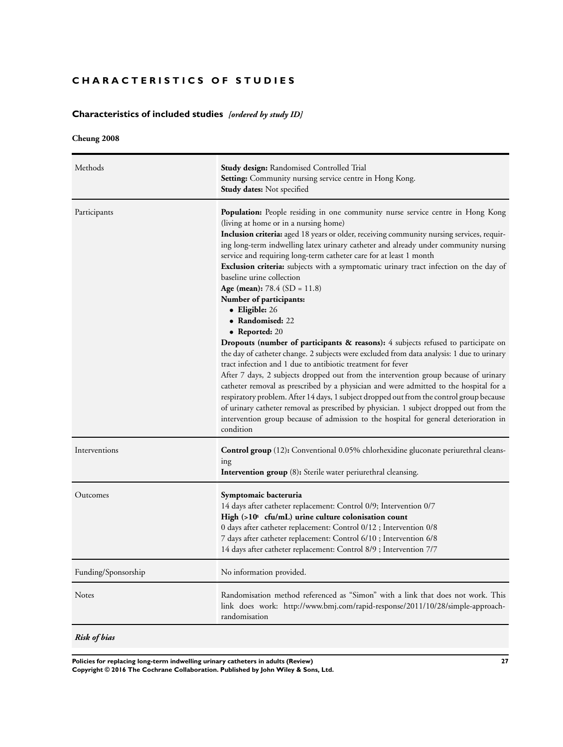# **CHARACTERISTICS OF STUDIES**

# **Characteristics of included studies** *[ordered by study ID]*

# **Cheung 2008**

| Methods             | <b>Study design:</b> Randomised Controlled Trial<br>Setting: Community nursing service centre in Hong Kong.<br><b>Study dates:</b> Not specified                                                                                                                                                                                                                                                                                                                                                                                                                                                                                                                                                                                                                                                                                                                                                                                                                                                                                                                                                                                                                                                                                                                                                                                                                                           |
|---------------------|--------------------------------------------------------------------------------------------------------------------------------------------------------------------------------------------------------------------------------------------------------------------------------------------------------------------------------------------------------------------------------------------------------------------------------------------------------------------------------------------------------------------------------------------------------------------------------------------------------------------------------------------------------------------------------------------------------------------------------------------------------------------------------------------------------------------------------------------------------------------------------------------------------------------------------------------------------------------------------------------------------------------------------------------------------------------------------------------------------------------------------------------------------------------------------------------------------------------------------------------------------------------------------------------------------------------------------------------------------------------------------------------|
| Participants        | <b>Population:</b> People residing in one community nurse service centre in Hong Kong<br>(living at home or in a nursing home)<br><b>Inclusion criteria:</b> aged 18 years or older, receiving community nursing services, requir-<br>ing long-term indwelling latex urinary catheter and already under community nursing<br>service and requiring long-term catheter care for at least 1 month<br><b>Exclusion criteria:</b> subjects with a symptomatic urinary tract infection on the day of<br>baseline urine collection<br>Age (mean): $78.4$ (SD = 11.8)<br>Number of participants:<br>• Eligible: 26<br>• Randomised: 22<br>• Reported: $20$<br><b>Dropouts (number of participants &amp; reasons):</b> 4 subjects refused to participate on<br>the day of catheter change. 2 subjects were excluded from data analysis: 1 due to urinary<br>tract infection and 1 due to antibiotic treatment for fever<br>After 7 days, 2 subjects dropped out from the intervention group because of urinary<br>catheter removal as prescribed by a physician and were admitted to the hospital for a<br>respiratory problem. After 14 days, 1 subject dropped out from the control group because<br>of urinary catheter removal as prescribed by physician. 1 subject dropped out from the<br>intervention group because of admission to the hospital for general deterioration in<br>condition |
| Interventions       | <b>Control group</b> (12): Conventional 0.05% chlorhexidine gluconate periurethral cleans-<br>ing<br><b>Intervention group</b> (8): Sterile water periurethral cleansing.                                                                                                                                                                                                                                                                                                                                                                                                                                                                                                                                                                                                                                                                                                                                                                                                                                                                                                                                                                                                                                                                                                                                                                                                                  |
| Outcomes            | Symptomaic bacteruria<br>14 days after catheter replacement: Control 0/9; Intervention 0/7<br>High (>10 cfu/mL) urine culture colonisation count<br>0 days after catheter replacement: Control 0/12 ; Intervention 0/8<br>7 days after catheter replacement: Control 6/10 ; Intervention 6/8<br>14 days after catheter replacement: Control 8/9 ; Intervention 7/7                                                                                                                                                                                                                                                                                                                                                                                                                                                                                                                                                                                                                                                                                                                                                                                                                                                                                                                                                                                                                         |
| Funding/Sponsorship | No information provided.                                                                                                                                                                                                                                                                                                                                                                                                                                                                                                                                                                                                                                                                                                                                                                                                                                                                                                                                                                                                                                                                                                                                                                                                                                                                                                                                                                   |
| <b>Notes</b>        | Randomisation method referenced as "Simon" with a link that does not work. This<br>link does work: http://www.bmj.com/rapid-response/2011/10/28/simple-approach-<br>randomisation                                                                                                                                                                                                                                                                                                                                                                                                                                                                                                                                                                                                                                                                                                                                                                                                                                                                                                                                                                                                                                                                                                                                                                                                          |
| Risk of bias        |                                                                                                                                                                                                                                                                                                                                                                                                                                                                                                                                                                                                                                                                                                                                                                                                                                                                                                                                                                                                                                                                                                                                                                                                                                                                                                                                                                                            |

**Policies for replacing long-term indwelling urinary catheters in adults (Review) 27 Copyright © 2016 The Cochrane Collaboration. Published by John Wiley & Sons, Ltd.**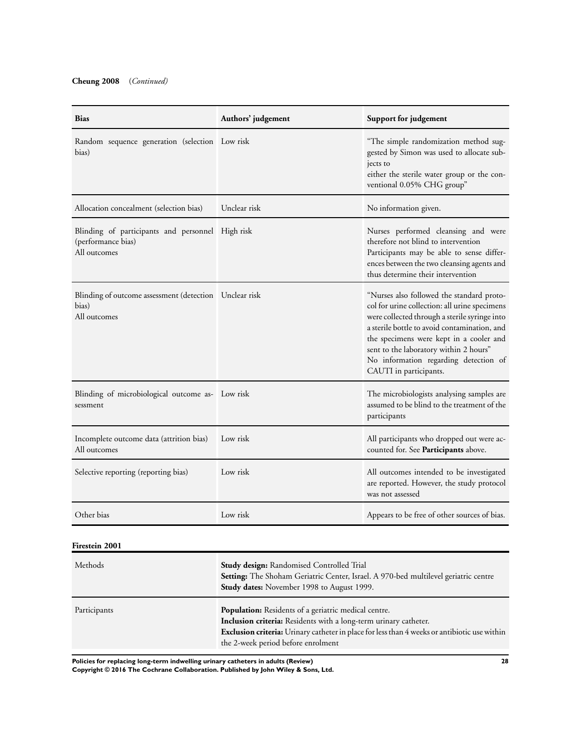| <b>Bias</b>                                                                            | Authors' judgement | Support for judgement                                                                                                                                                                                                                                                                                                                               |
|----------------------------------------------------------------------------------------|--------------------|-----------------------------------------------------------------------------------------------------------------------------------------------------------------------------------------------------------------------------------------------------------------------------------------------------------------------------------------------------|
| Random sequence generation (selection Low risk<br>bias)                                |                    | "The simple randomization method sug-<br>gested by Simon was used to allocate sub-<br>jects to<br>either the sterile water group or the con-<br>ventional 0.05% CHG group"                                                                                                                                                                          |
| Allocation concealment (selection bias)                                                | Unclear risk       | No information given.                                                                                                                                                                                                                                                                                                                               |
| Blinding of participants and personnel High risk<br>(performance bias)<br>All outcomes |                    | Nurses performed cleansing and were<br>therefore not blind to intervention<br>Participants may be able to sense differ-<br>ences between the two cleansing agents and<br>thus determine their intervention                                                                                                                                          |
| Blinding of outcome assessment (detection Unclear risk<br>bias)<br>All outcomes        |                    | "Nurses also followed the standard proto-<br>col for urine collection: all urine specimens<br>were collected through a sterile syringe into<br>a sterile bottle to avoid contamination, and<br>the specimens were kept in a cooler and<br>sent to the laboratory within 2 hours"<br>No information regarding detection of<br>CAUTI in participants. |
| Blinding of microbiological outcome as- Low risk<br>sessment                           |                    | The microbiologists analysing samples are<br>assumed to be blind to the treatment of the<br>participants                                                                                                                                                                                                                                            |
| Incomplete outcome data (attrition bias)<br>All outcomes                               | Low risk           | All participants who dropped out were ac-<br>counted for. See Participants above.                                                                                                                                                                                                                                                                   |
| Selective reporting (reporting bias)                                                   | Low risk           | All outcomes intended to be investigated<br>are reported. However, the study protocol<br>was not assessed                                                                                                                                                                                                                                           |
| Other bias                                                                             | Low risk           | Appears to be free of other sources of bias.                                                                                                                                                                                                                                                                                                        |
| <b>Firestein 2001</b>                                                                  |                    |                                                                                                                                                                                                                                                                                                                                                     |

| Methods      | <b>Study design:</b> Randomised Controlled Trial<br>Setting: The Shoham Geriatric Center, Israel. A 970-bed multilevel geriatric centre<br><b>Study dates:</b> November 1998 to August 1999.                                                                          |
|--------------|-----------------------------------------------------------------------------------------------------------------------------------------------------------------------------------------------------------------------------------------------------------------------|
| Participants | <b>Population:</b> Residents of a geriatric medical centre.<br>Inclusion criteria: Residents with a long-term urinary catheter.<br>Exclusion criteria: Urinary catheter in place for less than 4 weeks or antibiotic use within<br>the 2-week period before enrolment |

**Policies for replacing long-term indwelling urinary catheters in adults (Review) 28**

**Copyright © 2016 The Cochrane Collaboration. Published by John Wiley & Sons, Ltd.**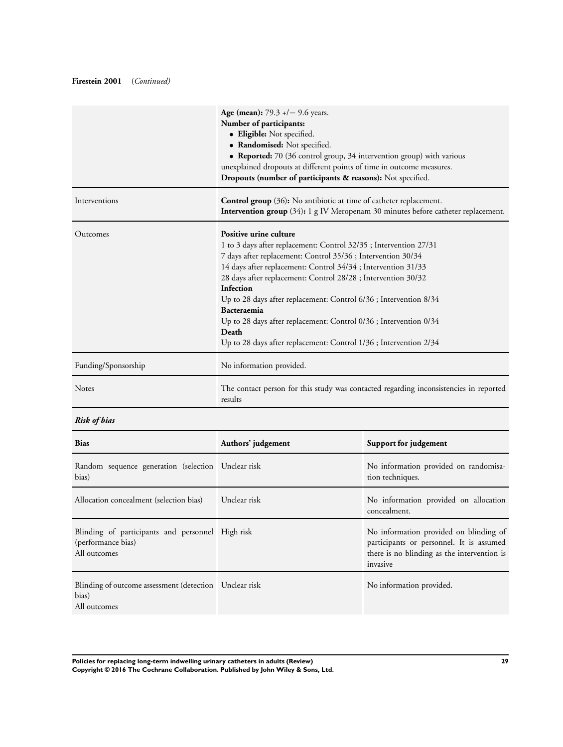# **Firestein 2001** (*Continued)*

|                     | <b>Age (mean):</b> 79.3 $+/-$ 9.6 years.<br>Number of participants:<br>· Eligible: Not specified.<br>• Randomised: Not specified.<br>• Reported: 70 (36 control group, 34 intervention group) with various<br>unexplained dropouts at different points of time in outcome measures.<br>Dropouts (number of participants & reasons): Not specified.                                                                                                                                                                                               |
|---------------------|--------------------------------------------------------------------------------------------------------------------------------------------------------------------------------------------------------------------------------------------------------------------------------------------------------------------------------------------------------------------------------------------------------------------------------------------------------------------------------------------------------------------------------------------------|
| Interventions       | <b>Control group</b> (36): No antibiotic at time of catheter replacement.<br>Intervention group (34): 1 g IV Meropenam 30 minutes before catheter replacement.                                                                                                                                                                                                                                                                                                                                                                                   |
| Outcomes            | Positive urine culture<br>1 to 3 days after replacement: Control 32/35; Intervention 27/31<br>7 days after replacement: Control 35/36 ; Intervention 30/34<br>14 days after replacement: Control 34/34 ; Intervention 31/33<br>28 days after replacement: Control 28/28 ; Intervention 30/32<br>Infection<br>Up to 28 days after replacement: Control 6/36 ; Intervention 8/34<br>Bacteraemia<br>Up to 28 days after replacement: Control 0/36 ; Intervention 0/34<br>Death<br>Up to 28 days after replacement: Control 1/36 ; Intervention 2/34 |
| Funding/Sponsorship | No information provided.                                                                                                                                                                                                                                                                                                                                                                                                                                                                                                                         |
| <b>Notes</b>        | The contact person for this study was contacted regarding inconsistencies in reported<br>results                                                                                                                                                                                                                                                                                                                                                                                                                                                 |

# *Risk of bias*

| <b>Bias</b>                                                                            | Authors' judgement | Support for judgement                                                                                                                         |
|----------------------------------------------------------------------------------------|--------------------|-----------------------------------------------------------------------------------------------------------------------------------------------|
| Random sequence generation (selection Unclear risk<br>bias)                            |                    | No information provided on randomisa-<br>tion techniques.                                                                                     |
| Allocation concealment (selection bias)                                                | Unclear risk       | No information provided on allocation<br>concealment.                                                                                         |
| Blinding of participants and personnel High risk<br>(performance bias)<br>All outcomes |                    | No information provided on blinding of<br>participants or personnel. It is assumed<br>there is no blinding as the intervention is<br>invasive |
| Blinding of outcome assessment (detection Unclear risk<br>bias)<br>All outcomes        |                    | No information provided.                                                                                                                      |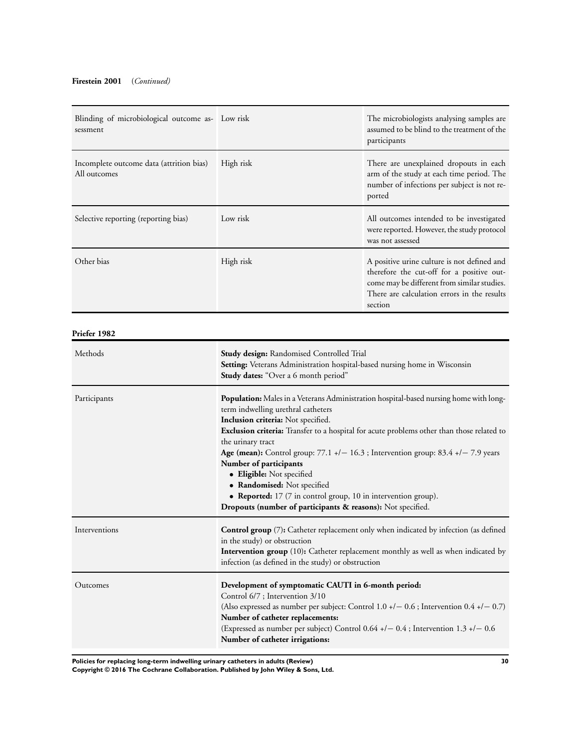# **Firestein 2001** (*Continued)*

| Blinding of microbiological outcome as- Low risk<br>sessment |                                                                                                                                                                                                                                                                                                                                                                                                                                                                                                                                                                                                     | The microbiologists analysing samples are<br>assumed to be blind to the treatment of the<br>participants                                     |  |  |  |
|--------------------------------------------------------------|-----------------------------------------------------------------------------------------------------------------------------------------------------------------------------------------------------------------------------------------------------------------------------------------------------------------------------------------------------------------------------------------------------------------------------------------------------------------------------------------------------------------------------------------------------------------------------------------------------|----------------------------------------------------------------------------------------------------------------------------------------------|--|--|--|
| Incomplete outcome data (attrition bias)<br>All outcomes     | High risk                                                                                                                                                                                                                                                                                                                                                                                                                                                                                                                                                                                           | There are unexplained dropouts in each<br>arm of the study at each time period. The<br>number of infections per subject is not re-<br>ported |  |  |  |
| Selective reporting (reporting bias)                         | Low risk                                                                                                                                                                                                                                                                                                                                                                                                                                                                                                                                                                                            | All outcomes intended to be investigated<br>were reported. However, the study protocol<br>was not assessed                                   |  |  |  |
| Other bias                                                   | High risk<br>A positive urine culture is not defined and<br>therefore the cut-off for a positive out-<br>come may be different from similar studies.<br>There are calculation errors in the results<br>section                                                                                                                                                                                                                                                                                                                                                                                      |                                                                                                                                              |  |  |  |
| Priefer 1982                                                 |                                                                                                                                                                                                                                                                                                                                                                                                                                                                                                                                                                                                     |                                                                                                                                              |  |  |  |
| Methods                                                      | Study design: Randomised Controlled Trial<br>Setting: Veterans Administration hospital-based nursing home in Wisconsin<br>Study dates: "Over a 6 month period"                                                                                                                                                                                                                                                                                                                                                                                                                                      |                                                                                                                                              |  |  |  |
| Participants                                                 | Population: Males in a Veterans Administration hospital-based nursing home with long-<br>term indwelling urethral catheters<br>Inclusion criteria: Not specified.<br>Exclusion criteria: Transfer to a hospital for acute problems other than those related to<br>the urinary tract<br>Age (mean): Control group: $77.1 +/- 16.3$ ; Intervention group: 83.4 $+/- 7.9$ years<br>Number of participants<br>· Eligible: Not specified<br>• Randomised: Not specified<br>• Reported: 17 (7 in control group, 10 in intervention group).<br>Dropouts (number of participants & reasons): Not specified. |                                                                                                                                              |  |  |  |
| Interventions                                                | Control group (7): Catheter replacement only when indicated by infection (as defined<br>in the study) or obstruction<br>Intervention group (10): Catheter replacement monthly as well as when indicated by<br>infection (as defined in the study) or obstruction                                                                                                                                                                                                                                                                                                                                    |                                                                                                                                              |  |  |  |
| Outcomes                                                     | Development of symptomatic CAUTI in 6-month period:<br>Control 6/7; Intervention 3/10<br>(Also expressed as number per subject: Control 1.0 +/ - 0.6 ; Intervention 0.4 +/ - 0.7)<br>Number of catheter replacements:<br>(Expressed as number per subject) Control 0.64 +/- 0.4; Intervention 1.3 +/- 0.6<br>Number of catheter irrigations:                                                                                                                                                                                                                                                        |                                                                                                                                              |  |  |  |

**Policies for replacing long-term indwelling urinary catheters in adults (Review) 30**

**Copyright © 2016 The Cochrane Collaboration. Published by John Wiley & Sons, Ltd.**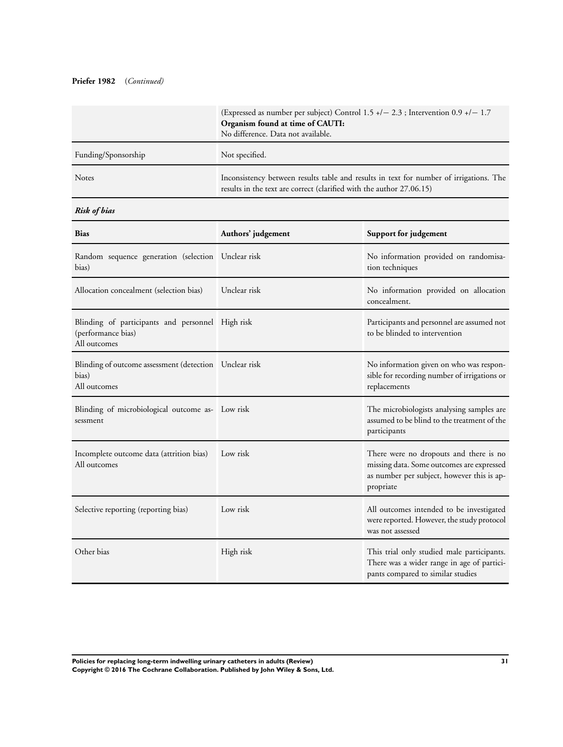# **Priefer 1982** (*Continued)*

|                     | (Expressed as number per subject) Control 1.5 $+/- 2.3$ ; Intervention 0.9 $+/- 1.7$<br>Organism found at time of CAUTI:<br>No difference. Data not available. |
|---------------------|----------------------------------------------------------------------------------------------------------------------------------------------------------------|
| Funding/Sponsorship | Not specified.                                                                                                                                                 |
| <b>Notes</b>        | Inconsistency between results table and results in text for number of irrigations. The<br>results in the text are correct (clarified with the author 27.06.15) |

# *Risk of bias*

| <b>Bias</b>                                                                            | Authors' judgement | Support for judgement                                                                                                                          |  |
|----------------------------------------------------------------------------------------|--------------------|------------------------------------------------------------------------------------------------------------------------------------------------|--|
| Random sequence generation (selection Unclear risk<br>bias)                            |                    | No information provided on randomisa-<br>tion techniques                                                                                       |  |
| Allocation concealment (selection bias)                                                | Unclear risk       | No information provided on allocation<br>concealment.                                                                                          |  |
| Blinding of participants and personnel High risk<br>(performance bias)<br>All outcomes |                    | Participants and personnel are assumed not<br>to be blinded to intervention                                                                    |  |
| Blinding of outcome assessment (detection Unclear risk<br>bias)<br>All outcomes        |                    | No information given on who was respon-<br>sible for recording number of irrigations or<br>replacements                                        |  |
| Blinding of microbiological outcome as- Low risk<br>sessment                           |                    | The microbiologists analysing samples are<br>assumed to be blind to the treatment of the<br>participants                                       |  |
| Incomplete outcome data (attrition bias)<br>All outcomes                               | Low risk           | There were no dropouts and there is no<br>missing data. Some outcomes are expressed<br>as number per subject, however this is ap-<br>propriate |  |
| Selective reporting (reporting bias)                                                   | Low risk           | All outcomes intended to be investigated<br>were reported. However, the study protocol<br>was not assessed                                     |  |
| Other bias                                                                             | High risk          | This trial only studied male participants.<br>There was a wider range in age of partici-<br>pants compared to similar studies                  |  |

**Policies for replacing long-term indwelling urinary catheters in adults (Review) 31 Copyright © 2016 The Cochrane Collaboration. Published by John Wiley & Sons, Ltd.**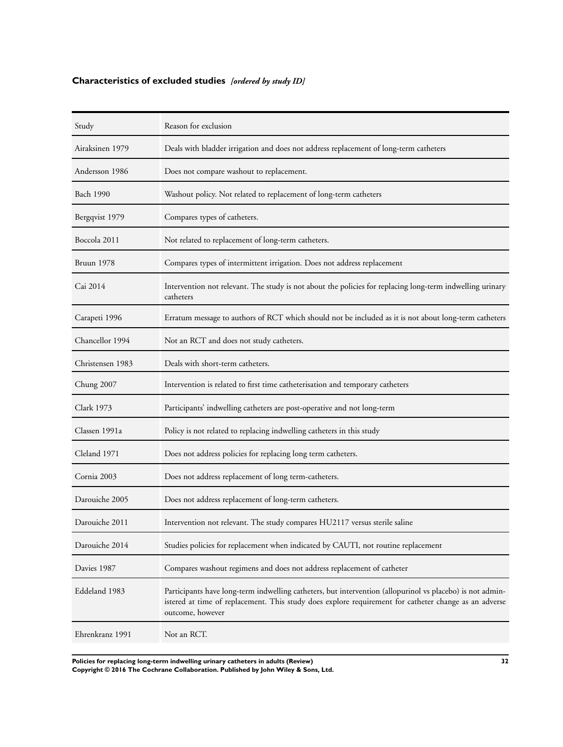# <span id="page-33-0"></span>**Characteristics of excluded studies** *[ordered by study ID]*

| Study             | Reason for exclusion                                                                                                                                                                                                                   |
|-------------------|----------------------------------------------------------------------------------------------------------------------------------------------------------------------------------------------------------------------------------------|
| Airaksinen 1979   | Deals with bladder irrigation and does not address replacement of long-term catheters                                                                                                                                                  |
| Andersson 1986    | Does not compare washout to replacement.                                                                                                                                                                                               |
| Bach 1990         | Washout policy. Not related to replacement of long-term catheters                                                                                                                                                                      |
| Bergqvist 1979    | Compares types of catheters.                                                                                                                                                                                                           |
| Boccola 2011      | Not related to replacement of long-term catheters.                                                                                                                                                                                     |
| Bruun 1978        | Compares types of intermittent irrigation. Does not address replacement                                                                                                                                                                |
| Cai 2014          | Intervention not relevant. The study is not about the policies for replacing long-term indwelling urinary<br>catheters                                                                                                                 |
| Carapeti 1996     | Erratum message to authors of RCT which should not be included as it is not about long-term catheters                                                                                                                                  |
| Chancellor 1994   | Not an RCT and does not study catheters.                                                                                                                                                                                               |
| Christensen 1983  | Deals with short-term catheters.                                                                                                                                                                                                       |
| Chung 2007        | Intervention is related to first time catheterisation and temporary catheters                                                                                                                                                          |
| <b>Clark 1973</b> | Participants' indwelling catheters are post-operative and not long-term                                                                                                                                                                |
| Classen 1991a     | Policy is not related to replacing indwelling catheters in this study                                                                                                                                                                  |
| Cleland 1971      | Does not address policies for replacing long term catheters.                                                                                                                                                                           |
| Cornia 2003       | Does not address replacement of long term-catheters.                                                                                                                                                                                   |
| Darouiche 2005    | Does not address replacement of long-term catheters.                                                                                                                                                                                   |
| Darouiche 2011    | Intervention not relevant. The study compares HU2117 versus sterile saline                                                                                                                                                             |
| Darouiche 2014    | Studies policies for replacement when indicated by CAUTI, not routine replacement                                                                                                                                                      |
| Davies 1987       | Compares washout regimens and does not address replacement of catheter                                                                                                                                                                 |
| Eddeland 1983     | Participants have long-term indwelling catheters, but intervention (allopurinol vs placebo) is not admin-<br>istered at time of replacement. This study does explore requirement for catheter change as an adverse<br>outcome, however |
| Ehrenkranz 1991   | Not an RCT.                                                                                                                                                                                                                            |

**Policies for replacing long-term indwelling urinary catheters in adults (Review) 32 Copyright © 2016 The Cochrane Collaboration. Published by John Wiley & Sons, Ltd.**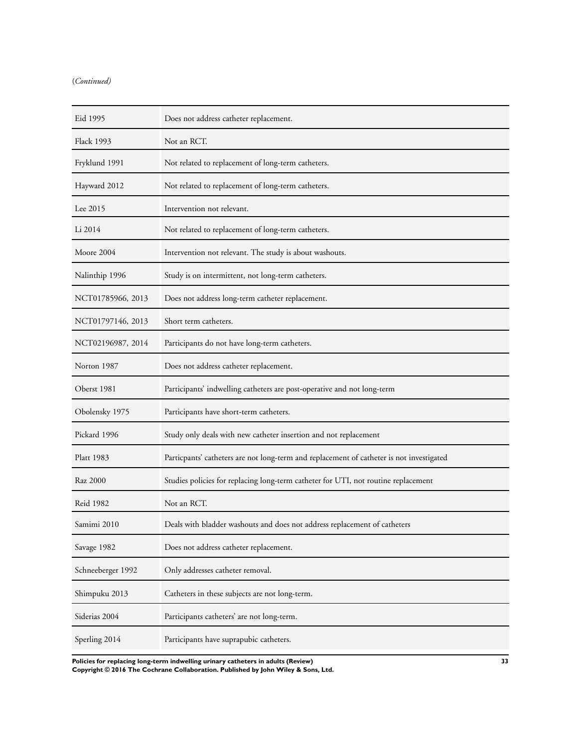# (*Continued)*

| Eid 1995          | Does not address catheter replacement.                                                   |
|-------------------|------------------------------------------------------------------------------------------|
| <b>Flack 1993</b> | Not an RCT.                                                                              |
| Fryklund 1991     | Not related to replacement of long-term catheters.                                       |
| Hayward 2012      | Not related to replacement of long-term catheters.                                       |
| Lee 2015          | Intervention not relevant.                                                               |
| Li 2014           | Not related to replacement of long-term catheters.                                       |
| Moore 2004        | Intervention not relevant. The study is about washouts.                                  |
| Nalinthip 1996    | Study is on intermittent, not long-term catheters.                                       |
| NCT01785966, 2013 | Does not address long-term catheter replacement.                                         |
| NCT01797146, 2013 | Short term catheters.                                                                    |
| NCT02196987, 2014 | Participants do not have long-term catheters.                                            |
| Norton 1987       | Does not address catheter replacement.                                                   |
| Oberst 1981       | Participants' indwelling catheters are post-operative and not long-term                  |
| Obolensky 1975    | Participants have short-term catheters.                                                  |
| Pickard 1996      | Study only deals with new catheter insertion and not replacement                         |
| <b>Platt 1983</b> | Particpants' catheters are not long-term and replacement of catheter is not investigated |
| Raz 2000          | Studies policies for replacing long-term catheter for UTI, not routine replacement       |
| <b>Reid 1982</b>  | Not an RCT.                                                                              |
| Samimi 2010       | Deals with bladder washouts and does not address replacement of catheters                |
| Savage 1982       | Does not address catheter replacement.                                                   |
| Schneeberger 1992 | Only addresses catheter removal.                                                         |
| Shimpuku 2013     | Catheters in these subjects are not long-term.                                           |
| Siderias 2004     | Participants catheters' are not long-term.                                               |
| Sperling 2014     | Participants have suprapubic catheters.                                                  |

**Policies for replacing long-term indwelling urinary catheters in adults (Review) 33 Copyright © 2016 The Cochrane Collaboration. Published by John Wiley & Sons, Ltd.**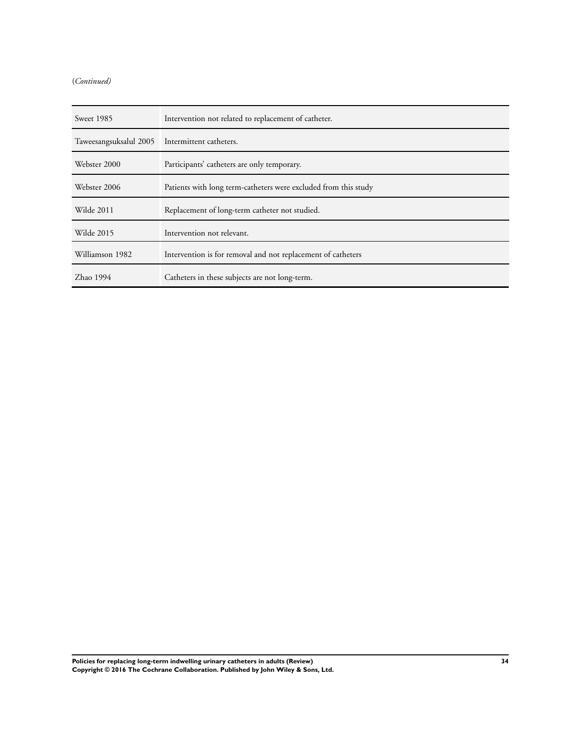# (*Continued)*

| Sweet 1985                                     | Intervention not related to replacement of catheter.            |
|------------------------------------------------|-----------------------------------------------------------------|
| Taweesangsuksalul 2005 Intermittent catheters. |                                                                 |
| Webster 2000                                   | Participants' catheters are only temporary.                     |
| Webster 2006                                   | Patients with long term-catheters were excluded from this study |
| Wilde 2011                                     | Replacement of long-term catheter not studied.                  |
| Wilde 2015                                     | Intervention not relevant.                                      |
| Williamson 1982                                | Intervention is for removal and not replacement of catheters    |
| Zhao 1994                                      | Catheters in these subjects are not long-term.                  |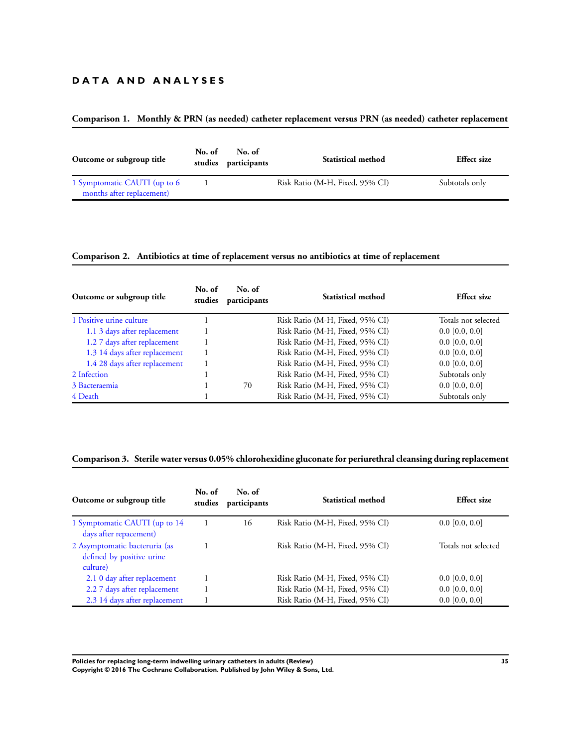# **D A T A A N D A N A L Y S E S**

# **Comparison 1. Monthly & PRN (as needed) catheter replacement versus PRN (as needed) catheter replacement**

| Outcome or subgroup title    | No. of | No. of<br>studies participants | <b>Statistical method</b>       | <b>Effect</b> size |
|------------------------------|--------|--------------------------------|---------------------------------|--------------------|
| 1 Symptomatic CAUTI (up to 6 |        |                                | Risk Ratio (M-H, Fixed, 95% CI) | Subtotals only     |
| months after replacement)    |        |                                |                                 |                    |

# **Comparison 2. Antibiotics at time of replacement versus no antibiotics at time of replacement**

| Outcome or subgroup title     | No. of<br>studies | No. of<br>participants | Statistical method              | <b>Effect</b> size  |
|-------------------------------|-------------------|------------------------|---------------------------------|---------------------|
| 1 Positive urine culture      |                   |                        | Risk Ratio (M-H, Fixed, 95% CI) | Totals not selected |
| 1.1 3 days after replacement  |                   |                        | Risk Ratio (M-H, Fixed, 95% CI) | $0.0$ [0.0, 0.0]    |
| 1.2 7 days after replacement  |                   |                        | Risk Ratio (M-H, Fixed, 95% CI) | $0.0$ [0.0, 0.0]    |
| 1.3 14 days after replacement |                   |                        | Risk Ratio (M-H, Fixed, 95% CI) | $0.0$ [0.0, 0.0]    |
| 1.4 28 days after replacement |                   |                        | Risk Ratio (M-H, Fixed, 95% CI) | $0.0$ [0.0, 0.0]    |
| 2 Infection                   |                   |                        | Risk Ratio (M-H, Fixed, 95% CI) | Subtotals only      |
| 3 Bacteraemia                 |                   | 70                     | Risk Ratio (M-H, Fixed, 95% CI) | $0.0$ [0.0, 0.0]    |
| 4 Death                       |                   |                        | Risk Ratio (M-H, Fixed, 95% CI) | Subtotals only      |

# **Comparison 3. Sterile water versus 0.05% chlorohexidine gluconate for periurethral cleansing during replacement**

| Outcome or subgroup title                                              | No. of<br>studies | No. of<br>participants | Statistical method              | <b>Effect size</b>  |
|------------------------------------------------------------------------|-------------------|------------------------|---------------------------------|---------------------|
| 1 Symptomatic CAUTI (up to 14)<br>days after repacement)               |                   | 16                     | Risk Ratio (M-H, Fixed, 95% CI) | $0.0$ [0.0, 0.0]    |
| 2 Asymptomatic bacteruria (as<br>defined by positive urine<br>culture) |                   |                        | Risk Ratio (M-H, Fixed, 95% CI) | Totals not selected |
| 2.1 0 day after replacement                                            |                   |                        | Risk Ratio (M-H, Fixed, 95% CI) | $0.0$ [0.0, 0.0]    |
| 2.2 7 days after replacement                                           |                   |                        | Risk Ratio (M-H, Fixed, 95% CI) | $0.0$ [0.0, 0.0]    |
| 2.3 14 days after replacement                                          |                   |                        | Risk Ratio (M-H, Fixed, 95% CI) | $0.0$ [0.0, 0.0]    |

**Policies for replacing long-term indwelling urinary catheters in adults (Review) 35 Copyright © 2016 The Cochrane Collaboration. Published by John Wiley & Sons, Ltd.**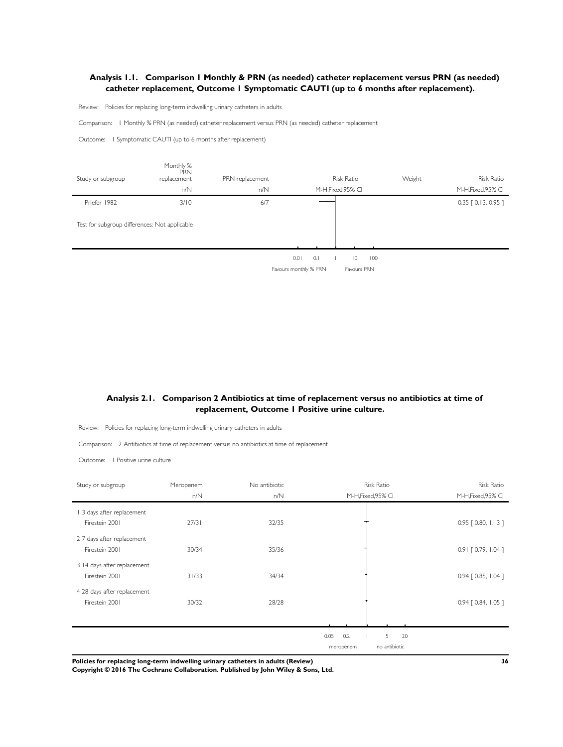# <span id="page-37-0"></span>**Analysis 1.1. Comparison 1 Monthly & PRN (as needed) catheter replacement versus PRN (as needed) catheter replacement, Outcome 1 Symptomatic CAUTI (up to 6 months after replacement).**

Review: Policies for replacing long-term indwelling urinary catheters in adults

Comparison: 1 Monthly % PRN (as needed) catheter replacement versus PRN (as needed) catheter replacement

Outcome: 1 Symptomatic CAUTI (up to 6 months after replacement)

![](_page_37_Figure_4.jpeg)

# **Analysis 2.1. Comparison 2 Antibiotics at time of replacement versus no antibiotics at time of replacement, Outcome 1 Positive urine culture.**

Review: Policies for replacing long-term indwelling urinary catheters in adults

Comparison: 2 Antibiotics at time of replacement versus no antibiotics at time of replacement

Outcome: 1 Positive urine culture

| Study or subgroup           | Meropenem | No antibiotic | <b>Risk Ratio</b>          | <b>Risk Ratio</b>     |
|-----------------------------|-----------|---------------|----------------------------|-----------------------|
|                             | n/N       | n/N           | M-H, Fixed, 95% CI         | M-H, Fixed, 95% CI    |
| 1 3 days after replacement  |           |               |                            |                       |
| Firestein 2001              | 27/31     | 32/35         |                            | $0.95$ $[0.80, 1.13]$ |
| 2 7 days after replacement  |           |               |                            |                       |
| Firestein 2001              | 30/34     | 35/36         |                            | 0.91 [0.79, 1.04]     |
| 3 14 days after replacement |           |               |                            |                       |
| Firestein 2001              | 31/33     | 34/34         |                            | $0.94$ $[0.85, 1.04]$ |
| 4 28 days after replacement |           |               |                            |                       |
| Firestein 2001              | 30/32     | 28/28         |                            | 0.94   0.84, 1.05 ]   |
|                             |           |               |                            |                       |
|                             |           |               |                            |                       |
|                             |           |               | 0.05<br>0.2<br>5<br>20     |                       |
|                             |           |               | no antibiotic<br>meropenem |                       |

**Policies for replacing long-term indwelling urinary catheters in adults (Review) 36**

**Copyright © 2016 The Cochrane Collaboration. Published by John Wiley & Sons, Ltd.**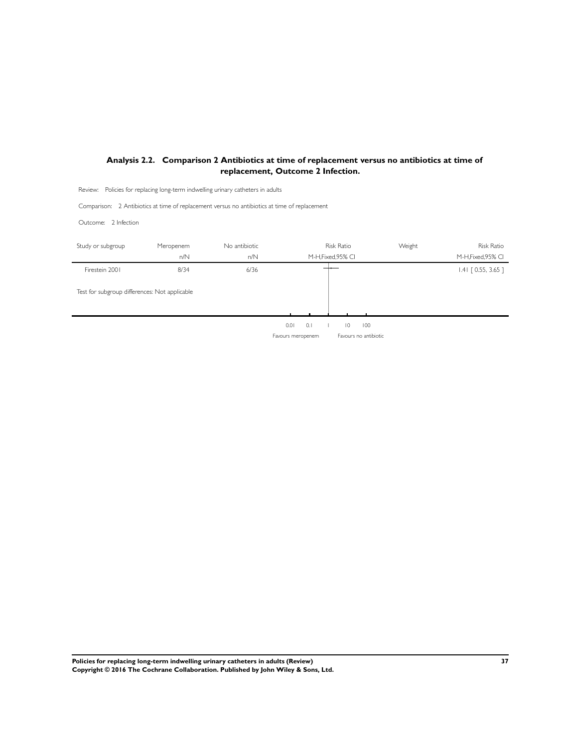# <span id="page-38-0"></span>**Analysis 2.2. Comparison 2 Antibiotics at time of replacement versus no antibiotics at time of replacement, Outcome 2 Infection.**

Review: Policies for replacing long-term indwelling urinary catheters in adults

Comparison: 2 Antibiotics at time of replacement versus no antibiotics at time of replacement

Outcome: 2 Infection

| Study or subgroup                             | Meropenem<br>n/N | No antibiotic<br>n/N |      |            | <b>Risk Ratio</b><br>M-H, Fixed, 95% CI |     | Weight | <b>Risk Ratio</b><br>M-H, Fixed, 95% CI |
|-----------------------------------------------|------------------|----------------------|------|------------|-----------------------------------------|-----|--------|-----------------------------------------|
| Firestein 2001                                | 8/34             | 6/36                 |      |            |                                         |     |        | $1.41$ $[0.55, 3.65]$                   |
| Test for subgroup differences: Not applicable |                  |                      |      |            |                                         |     |        |                                         |
|                                               |                  |                      |      |            |                                         |     |        |                                         |
|                                               |                  |                      | 0.01 | $\Omega$ . | $\overline{0}$                          | 100 |        |                                         |

Favours meropenem Favours no antibiotic

**Policies for replacing long-term indwelling urinary catheters in adults (Review) 37 Copyright © 2016 The Cochrane Collaboration. Published by John Wiley & Sons, Ltd.**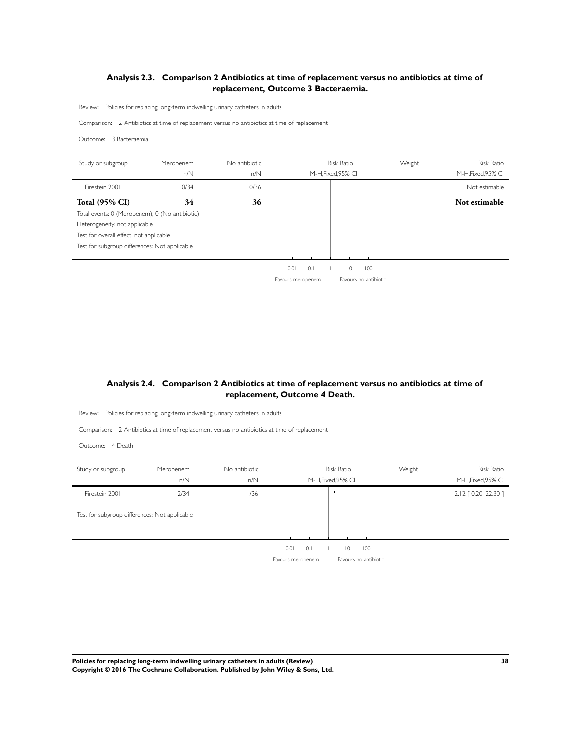# <span id="page-39-0"></span>**Analysis 2.3. Comparison 2 Antibiotics at time of replacement versus no antibiotics at time of replacement, Outcome 3 Bacteraemia.**

Review: Policies for replacing long-term indwelling urinary catheters in adults

Comparison: 2 Antibiotics at time of replacement versus no antibiotics at time of replacement

Outcome: 3 Bacteraemia

j.

| Study or subgroup                              | Meropenem<br>n/N | No antibiotic<br>n/N |                   |     | <b>Risk Ratio</b><br>M-H.Fixed.95% CI |                       | Weight | <b>Risk Ratio</b><br>M-H, Fixed, 95% CI |
|------------------------------------------------|------------------|----------------------|-------------------|-----|---------------------------------------|-----------------------|--------|-----------------------------------------|
| Firestein 2001                                 | 0/34             | 0/36                 |                   |     |                                       |                       |        | Not estimable                           |
| <b>Total (95% CI)</b>                          | 34               | 36                   |                   |     |                                       |                       |        | Not estimable                           |
| Total events: 0 (Meropenem), 0 (No antibiotic) |                  |                      |                   |     |                                       |                       |        |                                         |
| Heterogeneity: not applicable                  |                  |                      |                   |     |                                       |                       |        |                                         |
| Test for overall effect: not applicable        |                  |                      |                   |     |                                       |                       |        |                                         |
| Test for subgroup differences: Not applicable  |                  |                      |                   |     |                                       |                       |        |                                         |
|                                                |                  |                      |                   |     |                                       |                       |        |                                         |
|                                                |                  |                      | 0.01              | 0.1 | $\overline{0}$                        | 100                   |        |                                         |
|                                                |                  |                      | Favours meropenem |     |                                       | Favours no antibiotic |        |                                         |

# **Analysis 2.4. Comparison 2 Antibiotics at time of replacement versus no antibiotics at time of replacement, Outcome 4 Death.**

Review: Policies for replacing long-term indwelling urinary catheters in adults

Comparison: 2 Antibiotics at time of replacement versus no antibiotics at time of replacement

Outcome: 4 Death

| Study or subgroup | Meropenem                                     | No antibiotic |                                  | Risk Ratio         | Weight                       | <b>Risk Ratio</b>    |
|-------------------|-----------------------------------------------|---------------|----------------------------------|--------------------|------------------------------|----------------------|
|                   | n/N                                           | n/N           |                                  | M-H, Fixed, 95% CI |                              | M-H, Fixed, 95% CI   |
| Firestein 2001    | 2/34                                          | 1/36          |                                  |                    |                              | 2.12 [ 0.20, 22.30 ] |
|                   | Test for subgroup differences: Not applicable |               |                                  |                    |                              |                      |
|                   |                                               |               |                                  |                    |                              |                      |
|                   |                                               |               | 0.1<br>0.01<br>Favours meropenem | $\overline{0}$     | 100<br>Favours no antibiotic |                      |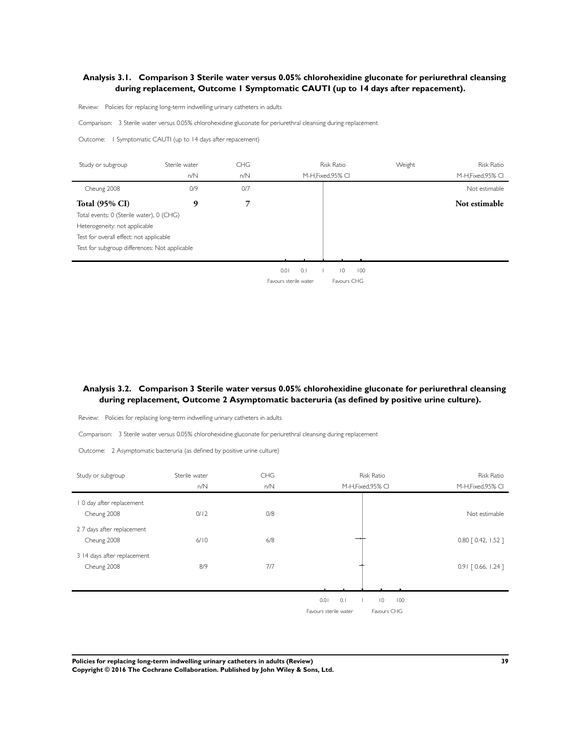# <span id="page-40-0"></span>**Analysis 3.1. Comparison 3 Sterile water versus 0.05% chlorohexidine gluconate for periurethral cleansing during replacement, Outcome 1 Symptomatic CAUTI (up to 14 days after repacement).**

Review: Policies for replacing long-term indwelling urinary catheters in adults

Comparison: 3 Sterile water versus 0.05% chlorohexidine gluconate for periurethral cleansing during replacement

Outcome: 1 Symptomatic CAUTI (up to 14 days after repacement)

| Study or subgroup                             | Sterile water | <b>CHG</b> | <b>Risk Ratio</b>                    | Weight | <b>Risk Ratio</b>  |
|-----------------------------------------------|---------------|------------|--------------------------------------|--------|--------------------|
|                                               | n/N           | n/N        | M-H, Fixed, 95% CI                   |        | M-H, Fixed, 95% CI |
| Cheung 2008                                   | O/9           | 0/7        |                                      |        | Not estimable      |
| <b>Total (95% CI)</b>                         | 9             | 7          |                                      |        | Not estimable      |
| Total events: 0 (Sterile water), 0 (CHG)      |               |            |                                      |        |                    |
| Heterogeneity: not applicable                 |               |            |                                      |        |                    |
| Test for overall effect: not applicable       |               |            |                                      |        |                    |
| Test for subgroup differences: Not applicable |               |            |                                      |        |                    |
|                                               |               |            |                                      |        |                    |
|                                               |               |            | 0.1<br>0.01<br>$\overline{0}$<br>100 |        |                    |
|                                               |               |            | Favours sterile water<br>Favours CHG |        |                    |

# **Analysis 3.2. Comparison 3 Sterile water versus 0.05% chlorohexidine gluconate for periurethral cleansing during replacement, Outcome 2 Asymptomatic bacteruria (as defined by positive urine culture).**

Review: Policies for replacing long-term indwelling urinary catheters in adults

Comparison: 3 Sterile water versus 0.05% chlorohexidine gluconate for periurethral cleansing during replacement

Outcome: 2 Asymptomatic bacteruria (as defined by positive urine culture)

| Study or subgroup           | Sterile water | <b>CHG</b> | <b>Risk Ratio</b>                    | <b>Risk Ratio</b>     |
|-----------------------------|---------------|------------|--------------------------------------|-----------------------|
|                             | n/N           | n/N        | M-H, Fixed, 95% CI                   | M-H, Fixed, 95% CI    |
| 0 day after replacement     |               |            |                                      |                       |
| Cheung 2008                 | 0/12          | 0/8        |                                      | Not estimable         |
| 2 7 days after replacement  |               |            |                                      |                       |
| Cheung 2008                 | 6/10          | 6/8        |                                      | $0.80$ $[0.42, 1.52]$ |
| 3 14 days after replacement |               |            |                                      |                       |
| Cheung 2008                 | 8/9           | 7/7        |                                      | $0.91$ $[0.66, 1.24]$ |
|                             |               |            |                                      |                       |
|                             |               |            | 0.1<br>$\overline{0}$<br>0.01<br>100 |                       |
|                             |               |            | Favours sterile water<br>Favours CHG |                       |

**Policies for replacing long-term indwelling urinary catheters in adults (Review) 39 Copyright © 2016 The Cochrane Collaboration. Published by John Wiley & Sons, Ltd.**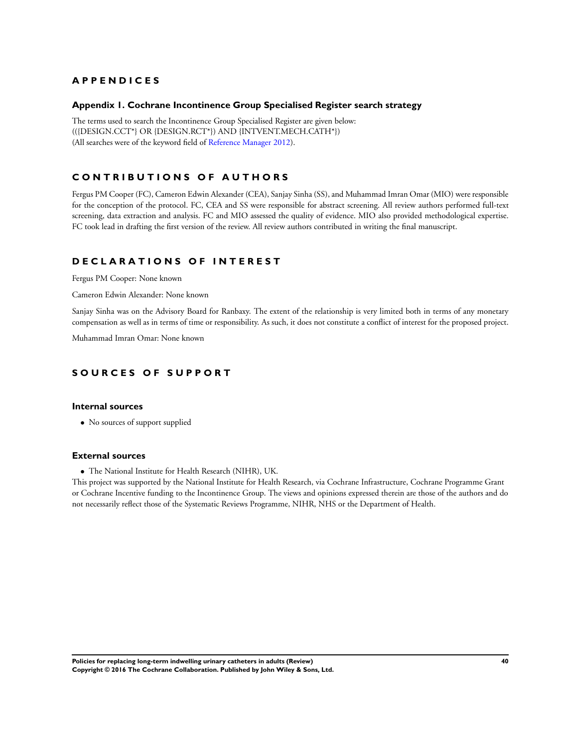# <span id="page-41-0"></span>**A P P E N D I C E S**

### **Appendix 1. Cochrane Incontinence Group Specialised Register search strategy**

The terms used to search the Incontinence Group Specialised Register are given below: (({DESIGN.CCT\*} OR {DESIGN.RCT\*}) AND {INTVENT.MECH.CATH\*}) (All searches were of the keyword field of [Reference Manager 2012](#page-23-0)).

# **C O N T R I B U T I O N S O F A U T H O R S**

Fergus PM Cooper (FC), Cameron Edwin Alexander (CEA), Sanjay Sinha (SS), and Muhammad Imran Omar (MIO) were responsible for the conception of the protocol. FC, CEA and SS were responsible for abstract screening. All review authors performed full-text screening, data extraction and analysis. FC and MIO assessed the quality of evidence. MIO also provided methodological expertise. FC took lead in drafting the first version of the review. All review authors contributed in writing the final manuscript.

# **D E C L A R A T I O N S O F I N T E R E S T**

Fergus PM Cooper: None known

Cameron Edwin Alexander: None known

Sanjay Sinha was on the Advisory Board for Ranbaxy. The extent of the relationship is very limited both in terms of any monetary compensation as well as in terms of time or responsibility. As such, it does not constitute a conflict of interest for the proposed project.

Muhammad Imran Omar: None known

# **S O U R C E S O F S U P P O R T**

# **Internal sources**

• No sources of support supplied

#### **External sources**

• The National Institute for Health Research (NIHR), UK.

This project was supported by the National Institute for Health Research, via Cochrane Infrastructure, Cochrane Programme Grant or Cochrane Incentive funding to the Incontinence Group. The views and opinions expressed therein are those of the authors and do not necessarily reflect those of the Systematic Reviews Programme, NIHR, NHS or the Department of Health.